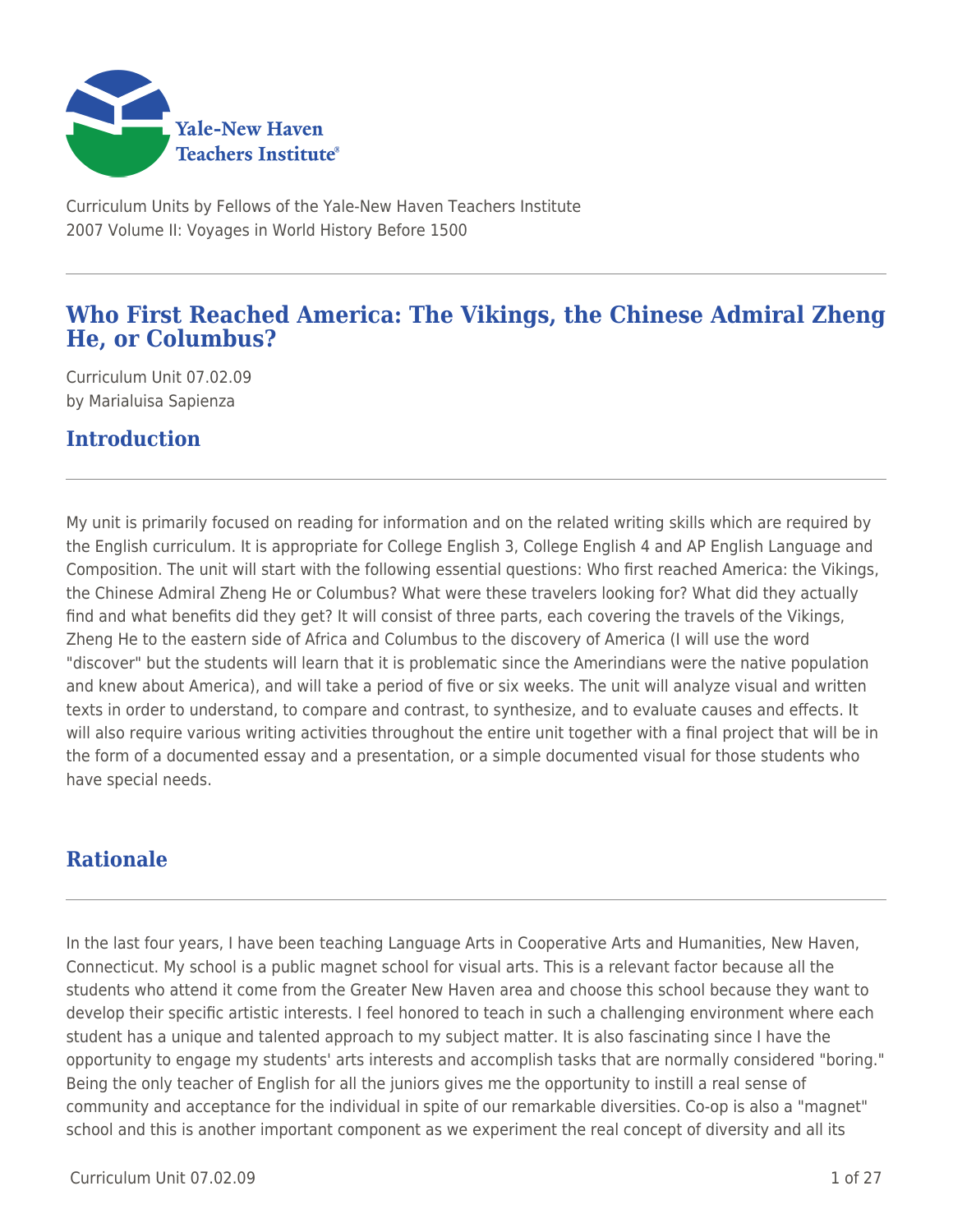

Curriculum Units by Fellows of the Yale-New Haven Teachers Institute 2007 Volume II: Voyages in World History Before 1500

## **Who First Reached America: The Vikings, the Chinese Admiral Zheng He, or Columbus?**

Curriculum Unit 07.02.09 by Marialuisa Sapienza

## **Introduction**

My unit is primarily focused on reading for information and on the related writing skills which are required by the English curriculum. It is appropriate for College English 3, College English 4 and AP English Language and Composition. The unit will start with the following essential questions: Who first reached America: the Vikings, the Chinese Admiral Zheng He or Columbus? What were these travelers looking for? What did they actually find and what benefits did they get? It will consist of three parts, each covering the travels of the Vikings, Zheng He to the eastern side of Africa and Columbus to the discovery of America (I will use the word "discover" but the students will learn that it is problematic since the Amerindians were the native population and knew about America), and will take a period of five or six weeks. The unit will analyze visual and written texts in order to understand, to compare and contrast, to synthesize, and to evaluate causes and effects. It will also require various writing activities throughout the entire unit together with a final project that will be in the form of a documented essay and a presentation, or a simple documented visual for those students who have special needs.

## **Rationale**

In the last four years, I have been teaching Language Arts in Cooperative Arts and Humanities, New Haven, Connecticut. My school is a public magnet school for visual arts. This is a relevant factor because all the students who attend it come from the Greater New Haven area and choose this school because they want to develop their specific artistic interests. I feel honored to teach in such a challenging environment where each student has a unique and talented approach to my subject matter. It is also fascinating since I have the opportunity to engage my students' arts interests and accomplish tasks that are normally considered "boring." Being the only teacher of English for all the juniors gives me the opportunity to instill a real sense of community and acceptance for the individual in spite of our remarkable diversities. Co-op is also a "magnet" school and this is another important component as we experiment the real concept of diversity and all its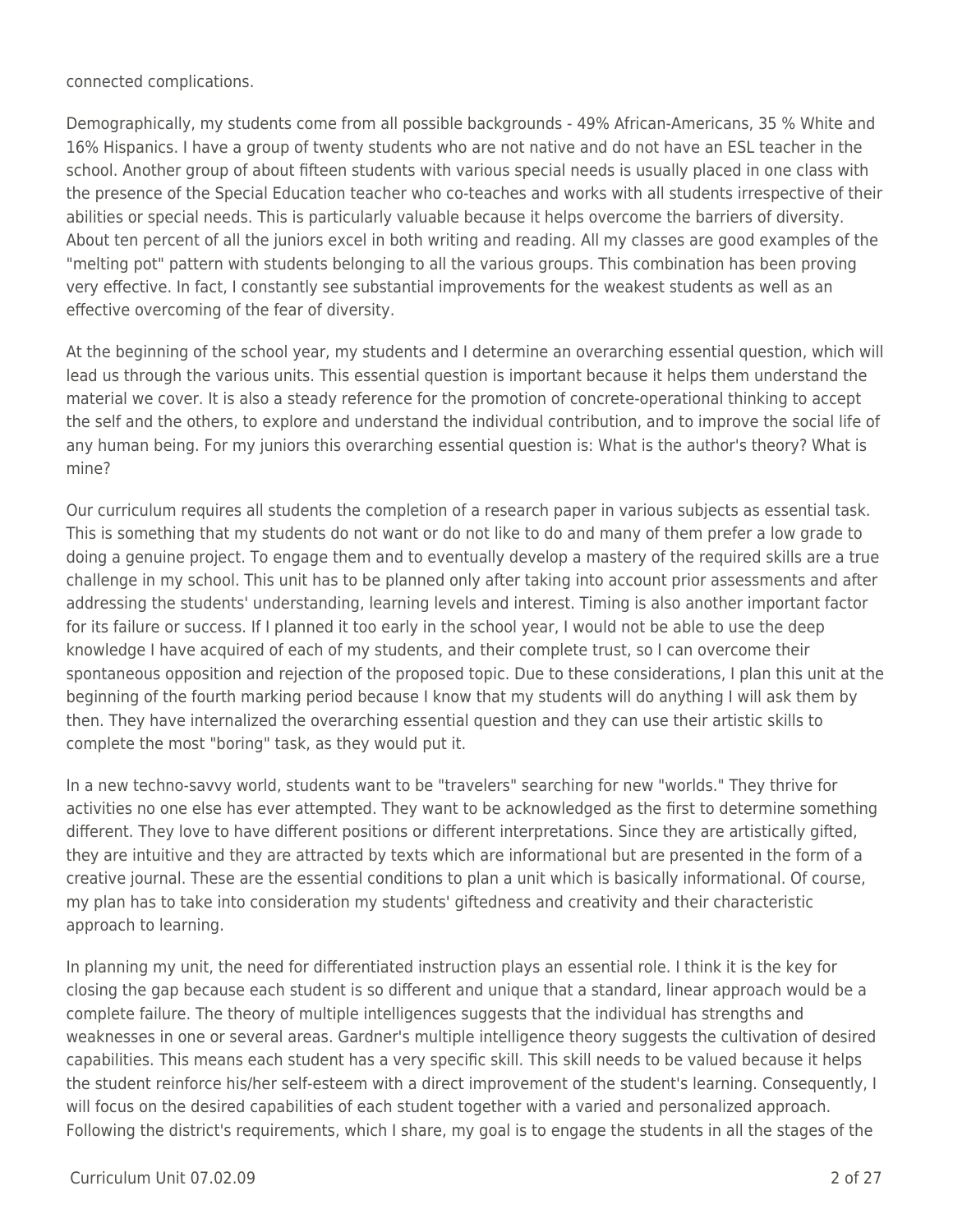connected complications.

Demographically, my students come from all possible backgrounds - 49% African-Americans, 35 % White and 16% Hispanics. I have a group of twenty students who are not native and do not have an ESL teacher in the school. Another group of about fifteen students with various special needs is usually placed in one class with the presence of the Special Education teacher who co-teaches and works with all students irrespective of their abilities or special needs. This is particularly valuable because it helps overcome the barriers of diversity. About ten percent of all the juniors excel in both writing and reading. All my classes are good examples of the "melting pot" pattern with students belonging to all the various groups. This combination has been proving very effective. In fact, I constantly see substantial improvements for the weakest students as well as an effective overcoming of the fear of diversity.

At the beginning of the school year, my students and I determine an overarching essential question, which will lead us through the various units. This essential question is important because it helps them understand the material we cover. It is also a steady reference for the promotion of concrete-operational thinking to accept the self and the others, to explore and understand the individual contribution, and to improve the social life of any human being. For my juniors this overarching essential question is: What is the author's theory? What is mine?

Our curriculum requires all students the completion of a research paper in various subjects as essential task. This is something that my students do not want or do not like to do and many of them prefer a low grade to doing a genuine project. To engage them and to eventually develop a mastery of the required skills are a true challenge in my school. This unit has to be planned only after taking into account prior assessments and after addressing the students' understanding, learning levels and interest. Timing is also another important factor for its failure or success. If I planned it too early in the school year, I would not be able to use the deep knowledge I have acquired of each of my students, and their complete trust, so I can overcome their spontaneous opposition and rejection of the proposed topic. Due to these considerations, I plan this unit at the beginning of the fourth marking period because I know that my students will do anything I will ask them by then. They have internalized the overarching essential question and they can use their artistic skills to complete the most "boring" task, as they would put it.

In a new techno-savvy world, students want to be "travelers" searching for new "worlds." They thrive for activities no one else has ever attempted. They want to be acknowledged as the first to determine something different. They love to have different positions or different interpretations. Since they are artistically gifted, they are intuitive and they are attracted by texts which are informational but are presented in the form of a creative journal. These are the essential conditions to plan a unit which is basically informational. Of course, my plan has to take into consideration my students' giftedness and creativity and their characteristic approach to learning.

In planning my unit, the need for differentiated instruction plays an essential role. I think it is the key for closing the gap because each student is so different and unique that a standard, linear approach would be a complete failure. The theory of multiple intelligences suggests that the individual has strengths and weaknesses in one or several areas. Gardner's multiple intelligence theory suggests the cultivation of desired capabilities. This means each student has a very specific skill. This skill needs to be valued because it helps the student reinforce his/her self-esteem with a direct improvement of the student's learning. Consequently, I will focus on the desired capabilities of each student together with a varied and personalized approach. Following the district's requirements, which I share, my goal is to engage the students in all the stages of the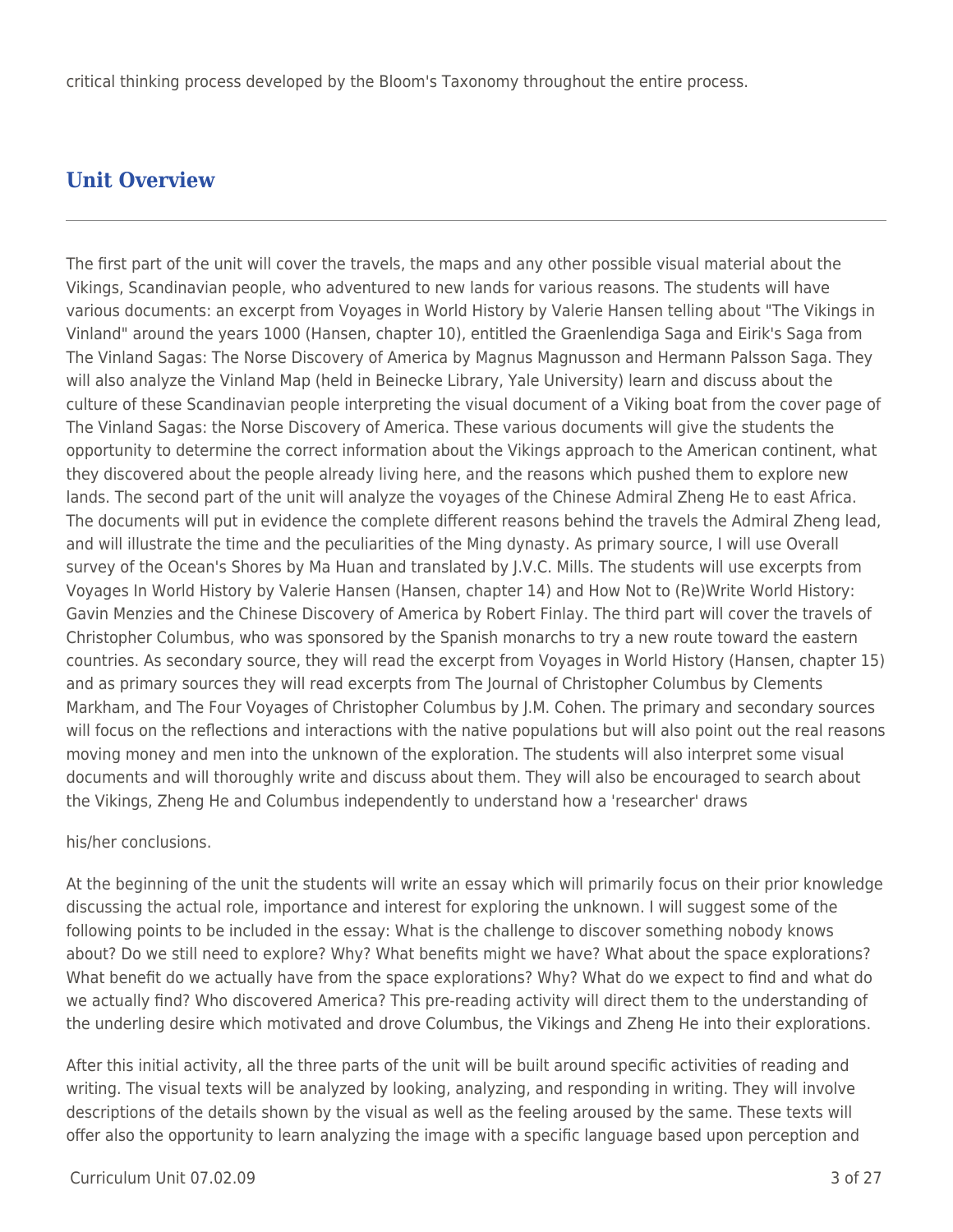# **Unit Overview**

The first part of the unit will cover the travels, the maps and any other possible visual material about the Vikings, Scandinavian people, who adventured to new lands for various reasons. The students will have various documents: an excerpt from Voyages in World History by Valerie Hansen telling about "The Vikings in Vinland" around the years 1000 (Hansen, chapter 10), entitled the Graenlendiga Saga and Eirik's Saga from The Vinland Sagas: The Norse Discovery of America by Magnus Magnusson and Hermann Palsson Saga. They will also analyze the Vinland Map (held in Beinecke Library, Yale University) learn and discuss about the culture of these Scandinavian people interpreting the visual document of a Viking boat from the cover page of The Vinland Sagas: the Norse Discovery of America. These various documents will give the students the opportunity to determine the correct information about the Vikings approach to the American continent, what they discovered about the people already living here, and the reasons which pushed them to explore new lands. The second part of the unit will analyze the voyages of the Chinese Admiral Zheng He to east Africa. The documents will put in evidence the complete different reasons behind the travels the Admiral Zheng lead, and will illustrate the time and the peculiarities of the Ming dynasty. As primary source, I will use Overall survey of the Ocean's Shores by Ma Huan and translated by J.V.C. Mills. The students will use excerpts from Voyages In World History by Valerie Hansen (Hansen, chapter 14) and How Not to (Re)Write World History: Gavin Menzies and the Chinese Discovery of America by Robert Finlay. The third part will cover the travels of Christopher Columbus, who was sponsored by the Spanish monarchs to try a new route toward the eastern countries. As secondary source, they will read the excerpt from Voyages in World History (Hansen, chapter 15) and as primary sources they will read excerpts from The Journal of Christopher Columbus by Clements Markham, and The Four Voyages of Christopher Columbus by J.M. Cohen. The primary and secondary sources will focus on the reflections and interactions with the native populations but will also point out the real reasons moving money and men into the unknown of the exploration. The students will also interpret some visual documents and will thoroughly write and discuss about them. They will also be encouraged to search about the Vikings, Zheng He and Columbus independently to understand how a 'researcher' draws

### his/her conclusions.

At the beginning of the unit the students will write an essay which will primarily focus on their prior knowledge discussing the actual role, importance and interest for exploring the unknown. I will suggest some of the following points to be included in the essay: What is the challenge to discover something nobody knows about? Do we still need to explore? Why? What benefits might we have? What about the space explorations? What benefit do we actually have from the space explorations? Why? What do we expect to find and what do we actually find? Who discovered America? This pre-reading activity will direct them to the understanding of the underling desire which motivated and drove Columbus, the Vikings and Zheng He into their explorations.

After this initial activity, all the three parts of the unit will be built around specific activities of reading and writing. The visual texts will be analyzed by looking, analyzing, and responding in writing. They will involve descriptions of the details shown by the visual as well as the feeling aroused by the same. These texts will offer also the opportunity to learn analyzing the image with a specific language based upon perception and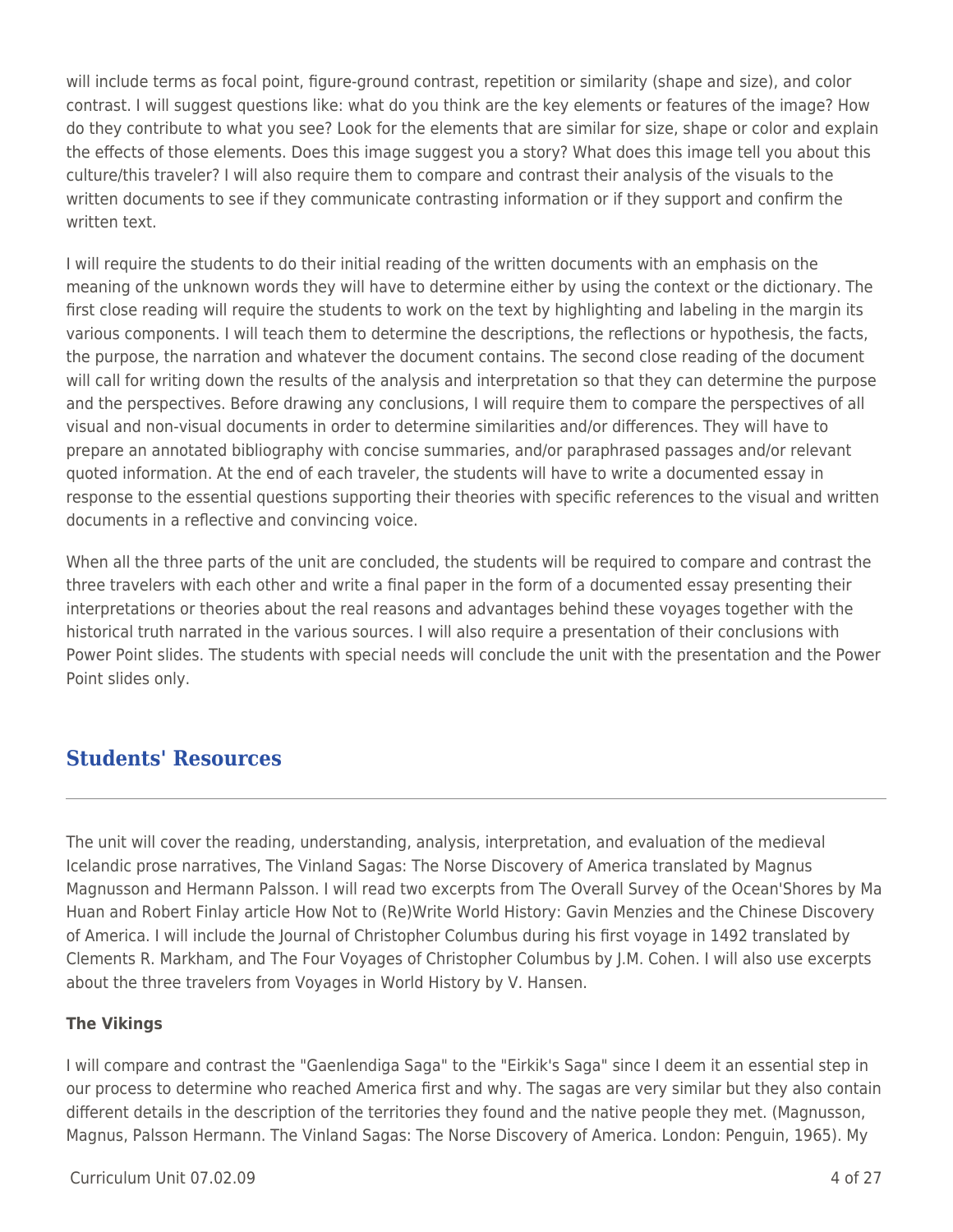will include terms as focal point, figure-ground contrast, repetition or similarity (shape and size), and color contrast. I will suggest questions like: what do you think are the key elements or features of the image? How do they contribute to what you see? Look for the elements that are similar for size, shape or color and explain the effects of those elements. Does this image suggest you a story? What does this image tell you about this culture/this traveler? I will also require them to compare and contrast their analysis of the visuals to the written documents to see if they communicate contrasting information or if they support and confirm the written text.

I will require the students to do their initial reading of the written documents with an emphasis on the meaning of the unknown words they will have to determine either by using the context or the dictionary. The first close reading will require the students to work on the text by highlighting and labeling in the margin its various components. I will teach them to determine the descriptions, the reflections or hypothesis, the facts, the purpose, the narration and whatever the document contains. The second close reading of the document will call for writing down the results of the analysis and interpretation so that they can determine the purpose and the perspectives. Before drawing any conclusions, I will require them to compare the perspectives of all visual and non-visual documents in order to determine similarities and/or differences. They will have to prepare an annotated bibliography with concise summaries, and/or paraphrased passages and/or relevant quoted information. At the end of each traveler, the students will have to write a documented essay in response to the essential questions supporting their theories with specific references to the visual and written documents in a reflective and convincing voice.

When all the three parts of the unit are concluded, the students will be required to compare and contrast the three travelers with each other and write a final paper in the form of a documented essay presenting their interpretations or theories about the real reasons and advantages behind these voyages together with the historical truth narrated in the various sources. I will also require a presentation of their conclusions with Power Point slides. The students with special needs will conclude the unit with the presentation and the Power Point slides only.

## **Students' Resources**

The unit will cover the reading, understanding, analysis, interpretation, and evaluation of the medieval Icelandic prose narratives, The Vinland Sagas: The Norse Discovery of America translated by Magnus Magnusson and Hermann Palsson. I will read two excerpts from The Overall Survey of the Ocean'Shores by Ma Huan and Robert Finlay article How Not to (Re)Write World History: Gavin Menzies and the Chinese Discovery of America. I will include the Journal of Christopher Columbus during his first voyage in 1492 translated by Clements R. Markham, and The Four Voyages of Christopher Columbus by J.M. Cohen. I will also use excerpts about the three travelers from Voyages in World History by V. Hansen.

#### **The Vikings**

I will compare and contrast the "Gaenlendiga Saga" to the "Eirkik's Saga" since I deem it an essential step in our process to determine who reached America first and why. The sagas are very similar but they also contain different details in the description of the territories they found and the native people they met. (Magnusson, Magnus, Palsson Hermann. The Vinland Sagas: The Norse Discovery of America. London: Penguin, 1965). My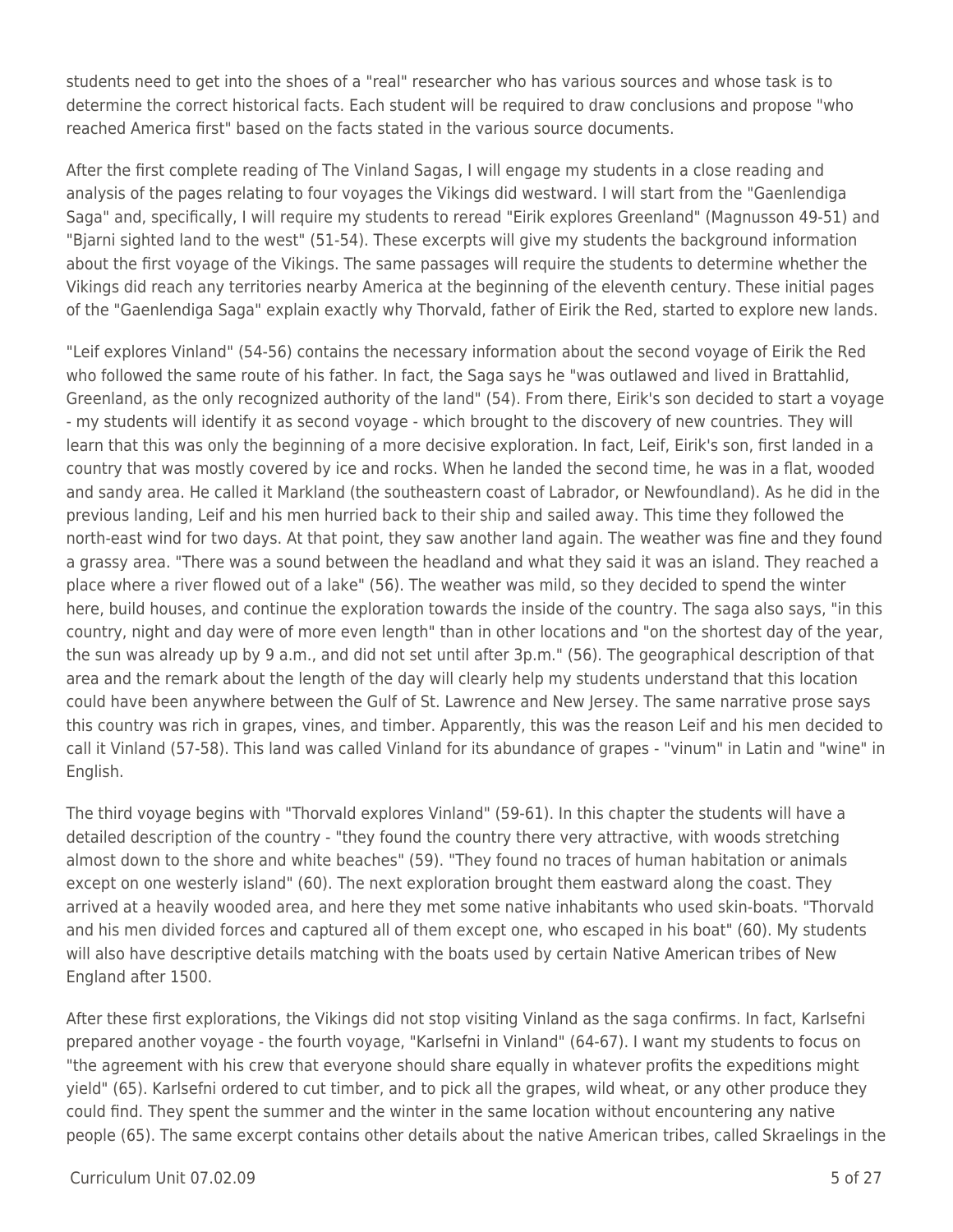students need to get into the shoes of a "real" researcher who has various sources and whose task is to determine the correct historical facts. Each student will be required to draw conclusions and propose "who reached America first" based on the facts stated in the various source documents.

After the first complete reading of The Vinland Sagas, I will engage my students in a close reading and analysis of the pages relating to four voyages the Vikings did westward. I will start from the "Gaenlendiga Saga" and, specifically, I will require my students to reread "Eirik explores Greenland" (Magnusson 49-51) and "Bjarni sighted land to the west" (51-54). These excerpts will give my students the background information about the first voyage of the Vikings. The same passages will require the students to determine whether the Vikings did reach any territories nearby America at the beginning of the eleventh century. These initial pages of the "Gaenlendiga Saga" explain exactly why Thorvald, father of Eirik the Red, started to explore new lands.

"Leif explores Vinland" (54-56) contains the necessary information about the second voyage of Eirik the Red who followed the same route of his father. In fact, the Saga says he "was outlawed and lived in Brattahlid, Greenland, as the only recognized authority of the land" (54). From there, Eirik's son decided to start a voyage - my students will identify it as second voyage - which brought to the discovery of new countries. They will learn that this was only the beginning of a more decisive exploration. In fact, Leif, Eirik's son, first landed in a country that was mostly covered by ice and rocks. When he landed the second time, he was in a flat, wooded and sandy area. He called it Markland (the southeastern coast of Labrador, or Newfoundland). As he did in the previous landing, Leif and his men hurried back to their ship and sailed away. This time they followed the north-east wind for two days. At that point, they saw another land again. The weather was fine and they found a grassy area. "There was a sound between the headland and what they said it was an island. They reached a place where a river flowed out of a lake" (56). The weather was mild, so they decided to spend the winter here, build houses, and continue the exploration towards the inside of the country. The saga also says, "in this country, night and day were of more even length" than in other locations and "on the shortest day of the year, the sun was already up by 9 a.m., and did not set until after 3p.m." (56). The geographical description of that area and the remark about the length of the day will clearly help my students understand that this location could have been anywhere between the Gulf of St. Lawrence and New Jersey. The same narrative prose says this country was rich in grapes, vines, and timber. Apparently, this was the reason Leif and his men decided to call it Vinland (57-58). This land was called Vinland for its abundance of grapes - "vinum" in Latin and "wine" in English.

The third voyage begins with "Thorvald explores Vinland" (59-61). In this chapter the students will have a detailed description of the country - "they found the country there very attractive, with woods stretching almost down to the shore and white beaches" (59). "They found no traces of human habitation or animals except on one westerly island" (60). The next exploration brought them eastward along the coast. They arrived at a heavily wooded area, and here they met some native inhabitants who used skin-boats. "Thorvald and his men divided forces and captured all of them except one, who escaped in his boat" (60). My students will also have descriptive details matching with the boats used by certain Native American tribes of New England after 1500.

After these first explorations, the Vikings did not stop visiting Vinland as the saga confirms. In fact, Karlsefni prepared another voyage - the fourth voyage, "Karlsefni in Vinland" (64-67). I want my students to focus on "the agreement with his crew that everyone should share equally in whatever profits the expeditions might yield" (65). Karlsefni ordered to cut timber, and to pick all the grapes, wild wheat, or any other produce they could find. They spent the summer and the winter in the same location without encountering any native people (65). The same excerpt contains other details about the native American tribes, called Skraelings in the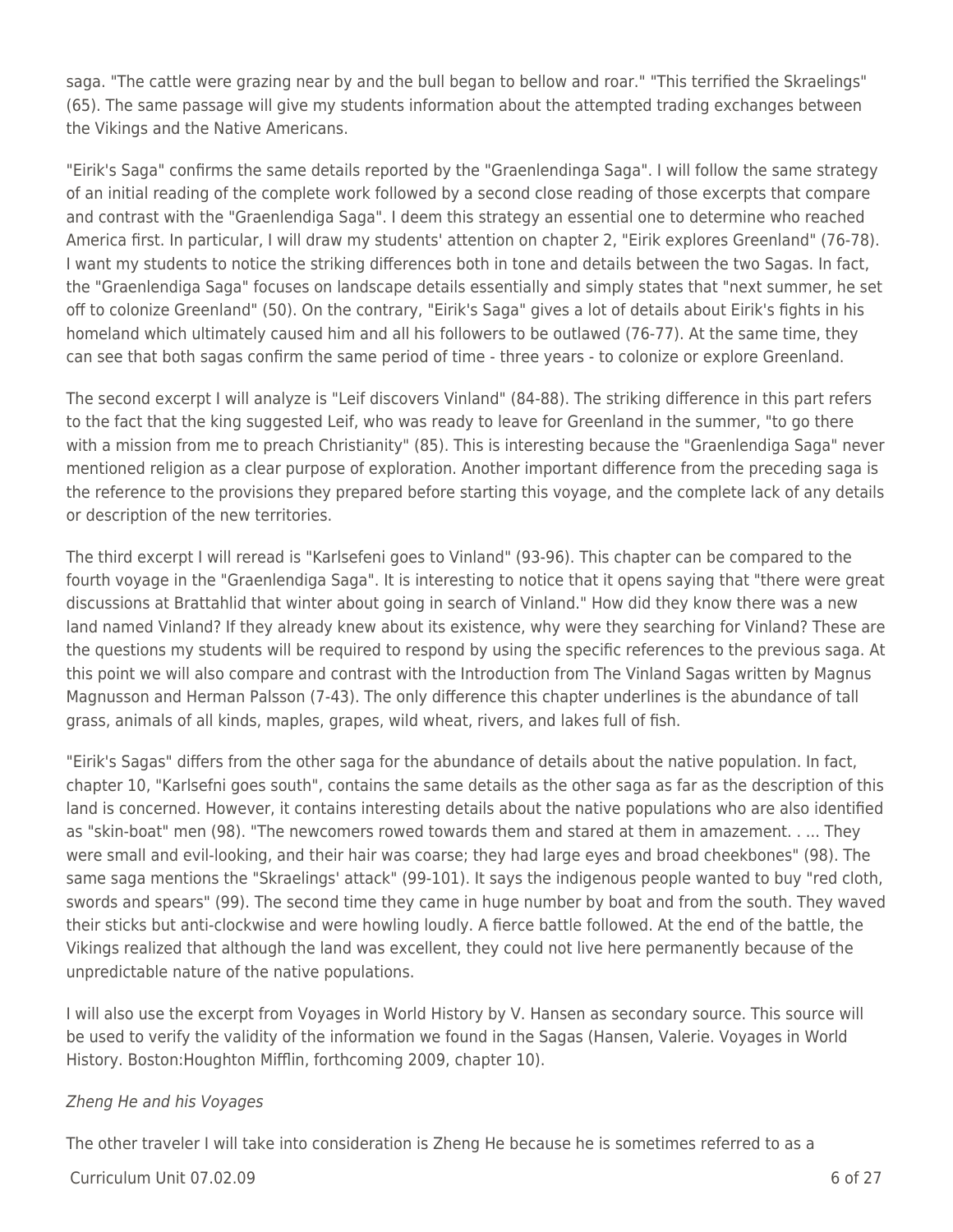saga. "The cattle were grazing near by and the bull began to bellow and roar." "This terrified the Skraelings" (65). The same passage will give my students information about the attempted trading exchanges between the Vikings and the Native Americans.

"Eirik's Saga" confirms the same details reported by the "Graenlendinga Saga". I will follow the same strategy of an initial reading of the complete work followed by a second close reading of those excerpts that compare and contrast with the "Graenlendiga Saga". I deem this strategy an essential one to determine who reached America first. In particular, I will draw my students' attention on chapter 2, "Eirik explores Greenland" (76-78). I want my students to notice the striking differences both in tone and details between the two Sagas. In fact, the "Graenlendiga Saga" focuses on landscape details essentially and simply states that "next summer, he set off to colonize Greenland" (50). On the contrary, "Eirik's Saga" gives a lot of details about Eirik's fights in his homeland which ultimately caused him and all his followers to be outlawed (76-77). At the same time, they can see that both sagas confirm the same period of time - three years - to colonize or explore Greenland.

The second excerpt I will analyze is "Leif discovers Vinland" (84-88). The striking difference in this part refers to the fact that the king suggested Leif, who was ready to leave for Greenland in the summer, "to go there with a mission from me to preach Christianity" (85). This is interesting because the "Graenlendiga Saga" never mentioned religion as a clear purpose of exploration. Another important difference from the preceding saga is the reference to the provisions they prepared before starting this voyage, and the complete lack of any details or description of the new territories.

The third excerpt I will reread is "Karlsefeni goes to Vinland" (93-96). This chapter can be compared to the fourth voyage in the "Graenlendiga Saga". It is interesting to notice that it opens saying that "there were great discussions at Brattahlid that winter about going in search of Vinland." How did they know there was a new land named Vinland? If they already knew about its existence, why were they searching for Vinland? These are the questions my students will be required to respond by using the specific references to the previous saga. At this point we will also compare and contrast with the Introduction from The Vinland Sagas written by Magnus Magnusson and Herman Palsson (7-43). The only difference this chapter underlines is the abundance of tall grass, animals of all kinds, maples, grapes, wild wheat, rivers, and lakes full of fish.

"Eirik's Sagas" differs from the other saga for the abundance of details about the native population. In fact, chapter 10, "Karlsefni goes south", contains the same details as the other saga as far as the description of this land is concerned. However, it contains interesting details about the native populations who are also identified as "skin-boat" men (98). "The newcomers rowed towards them and stared at them in amazement. . ... They were small and evil-looking, and their hair was coarse; they had large eyes and broad cheekbones" (98). The same saga mentions the "Skraelings' attack" (99-101). It says the indigenous people wanted to buy "red cloth, swords and spears" (99). The second time they came in huge number by boat and from the south. They waved their sticks but anti-clockwise and were howling loudly. A fierce battle followed. At the end of the battle, the Vikings realized that although the land was excellent, they could not live here permanently because of the unpredictable nature of the native populations.

I will also use the excerpt from Voyages in World History by V. Hansen as secondary source. This source will be used to verify the validity of the information we found in the Sagas (Hansen, Valerie. Voyages in World History. Boston:Houghton Mifflin, forthcoming 2009, chapter 10).

### Zheng He and his Voyages

The other traveler I will take into consideration is Zheng He because he is sometimes referred to as a

Curriculum Unit 07.02.09 6 of 27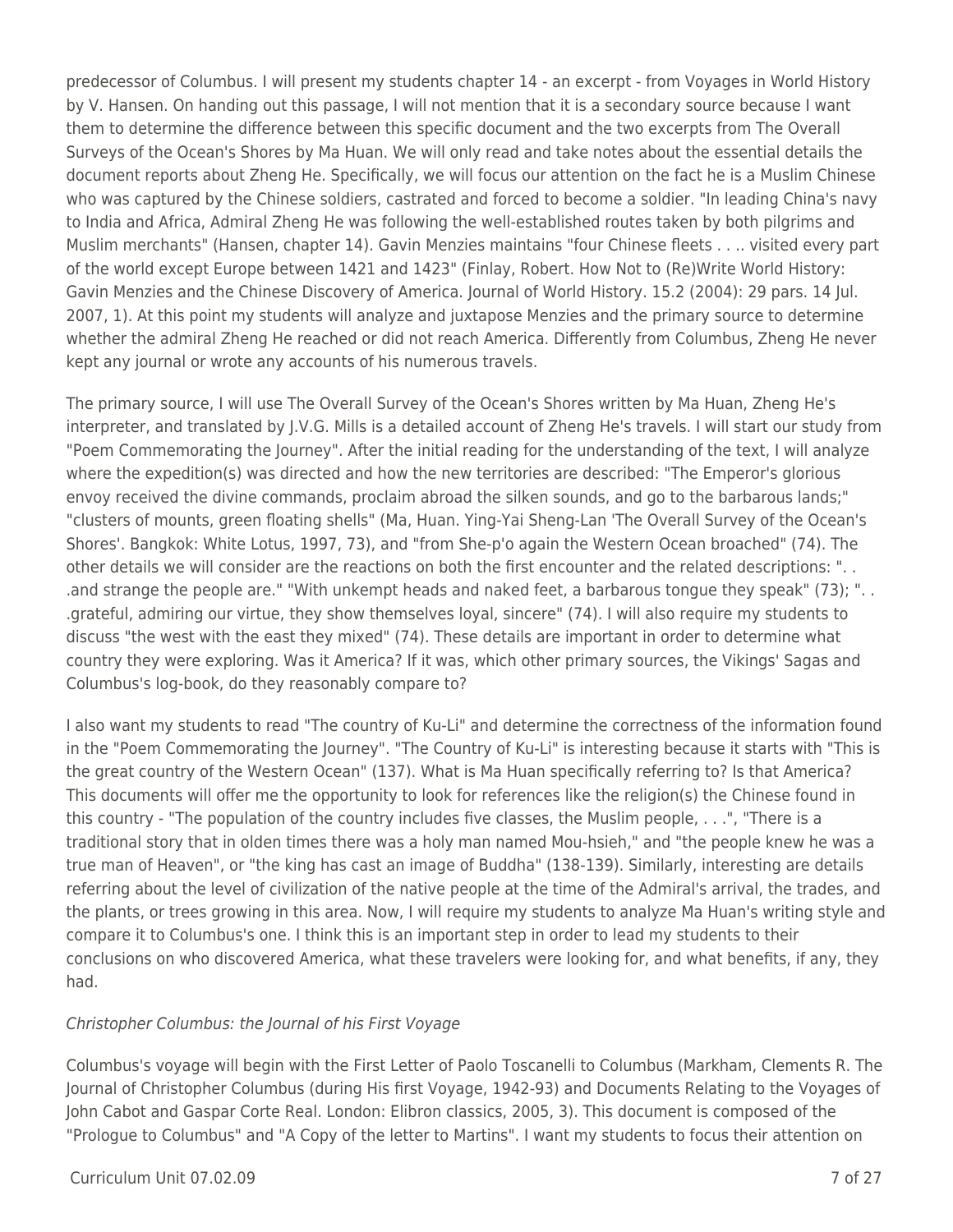predecessor of Columbus. I will present my students chapter 14 - an excerpt - from Voyages in World History by V. Hansen. On handing out this passage, I will not mention that it is a secondary source because I want them to determine the difference between this specific document and the two excerpts from The Overall Surveys of the Ocean's Shores by Ma Huan. We will only read and take notes about the essential details the document reports about Zheng He. Specifically, we will focus our attention on the fact he is a Muslim Chinese who was captured by the Chinese soldiers, castrated and forced to become a soldier. "In leading China's navy to India and Africa, Admiral Zheng He was following the well-established routes taken by both pilgrims and Muslim merchants" (Hansen, chapter 14). Gavin Menzies maintains "four Chinese fleets . . .. visited every part of the world except Europe between 1421 and 1423" (Finlay, Robert. How Not to (Re)Write World History: Gavin Menzies and the Chinese Discovery of America. Journal of World History. 15.2 (2004): 29 pars. 14 Jul. 2007, 1). At this point my students will analyze and juxtapose Menzies and the primary source to determine whether the admiral Zheng He reached or did not reach America. Differently from Columbus, Zheng He never kept any journal or wrote any accounts of his numerous travels.

The primary source, I will use The Overall Survey of the Ocean's Shores written by Ma Huan, Zheng He's interpreter, and translated by J.V.G. Mills is a detailed account of Zheng He's travels. I will start our study from "Poem Commemorating the Journey". After the initial reading for the understanding of the text, I will analyze where the expedition(s) was directed and how the new territories are described: "The Emperor's glorious envoy received the divine commands, proclaim abroad the silken sounds, and go to the barbarous lands;" "clusters of mounts, green floating shells" (Ma, Huan. Ying-Yai Sheng-Lan 'The Overall Survey of the Ocean's Shores'. Bangkok: White Lotus, 1997, 73), and "from She-p'o again the Western Ocean broached" (74). The other details we will consider are the reactions on both the first encounter and the related descriptions: ". . .and strange the people are." "With unkempt heads and naked feet, a barbarous tongue they speak" (73); ". . .grateful, admiring our virtue, they show themselves loyal, sincere" (74). I will also require my students to discuss "the west with the east they mixed" (74). These details are important in order to determine what country they were exploring. Was it America? If it was, which other primary sources, the Vikings' Sagas and Columbus's log-book, do they reasonably compare to?

I also want my students to read "The country of Ku-Li" and determine the correctness of the information found in the "Poem Commemorating the Journey". "The Country of Ku-Li" is interesting because it starts with "This is the great country of the Western Ocean" (137). What is Ma Huan specifically referring to? Is that America? This documents will offer me the opportunity to look for references like the religion(s) the Chinese found in this country - "The population of the country includes five classes, the Muslim people, . . .", "There is a traditional story that in olden times there was a holy man named Mou-hsieh," and "the people knew he was a true man of Heaven", or "the king has cast an image of Buddha" (138-139). Similarly, interesting are details referring about the level of civilization of the native people at the time of the Admiral's arrival, the trades, and the plants, or trees growing in this area. Now, I will require my students to analyze Ma Huan's writing style and compare it to Columbus's one. I think this is an important step in order to lead my students to their conclusions on who discovered America, what these travelers were looking for, and what benefits, if any, they had.

### Christopher Columbus: the Journal of his First Voyage

Columbus's voyage will begin with the First Letter of Paolo Toscanelli to Columbus (Markham, Clements R. The Journal of Christopher Columbus (during His first Voyage, 1942-93) and Documents Relating to the Voyages of John Cabot and Gaspar Corte Real. London: Elibron classics, 2005, 3). This document is composed of the "Prologue to Columbus" and "A Copy of the letter to Martins". I want my students to focus their attention on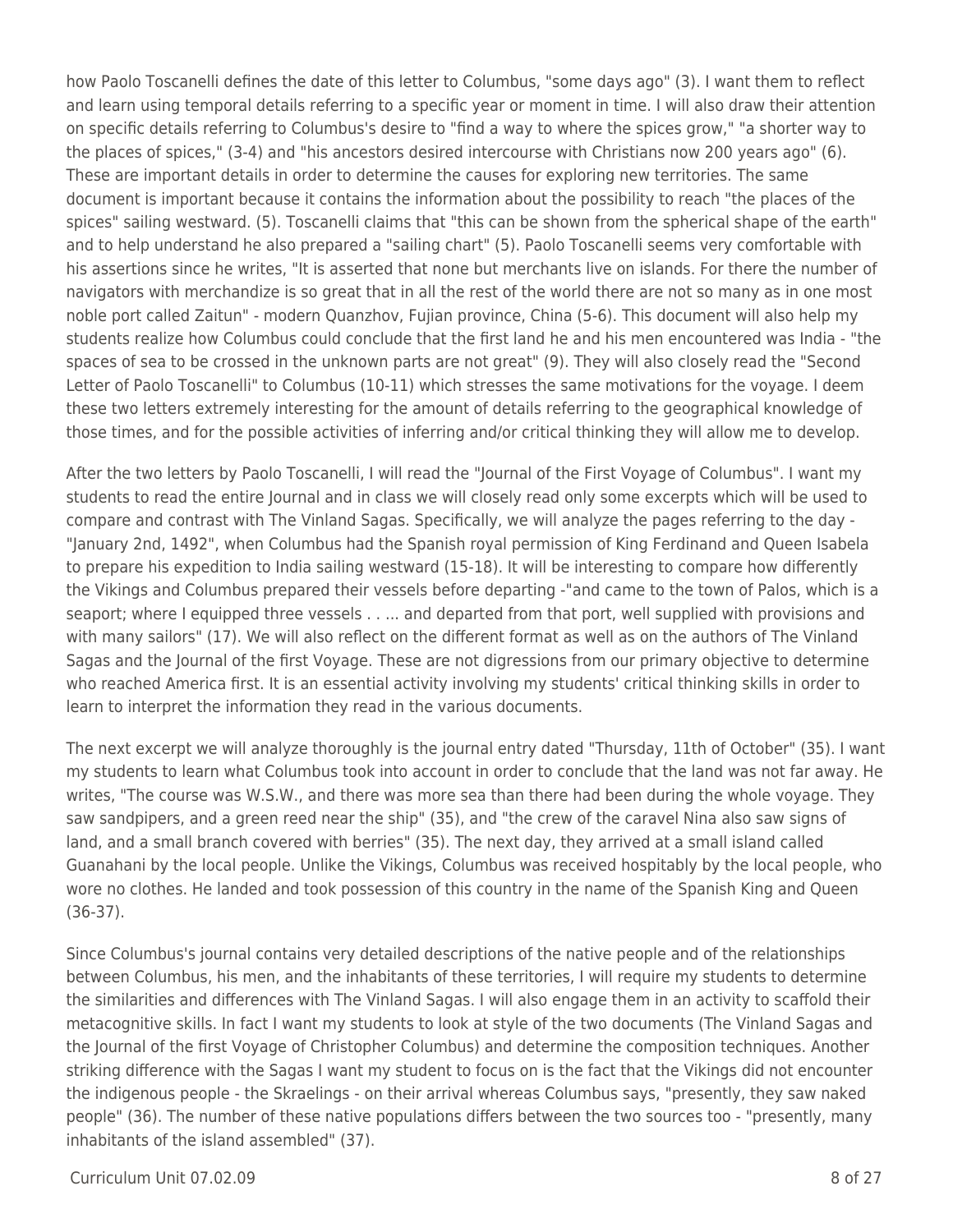how Paolo Toscanelli defines the date of this letter to Columbus, "some days ago" (3). I want them to reflect and learn using temporal details referring to a specific year or moment in time. I will also draw their attention on specific details referring to Columbus's desire to "find a way to where the spices grow," "a shorter way to the places of spices," (3-4) and "his ancestors desired intercourse with Christians now 200 years ago" (6). These are important details in order to determine the causes for exploring new territories. The same document is important because it contains the information about the possibility to reach "the places of the spices" sailing westward. (5). Toscanelli claims that "this can be shown from the spherical shape of the earth" and to help understand he also prepared a "sailing chart" (5). Paolo Toscanelli seems very comfortable with his assertions since he writes, "It is asserted that none but merchants live on islands. For there the number of navigators with merchandize is so great that in all the rest of the world there are not so many as in one most noble port called Zaitun" - modern Quanzhov, Fujian province, China (5-6). This document will also help my students realize how Columbus could conclude that the first land he and his men encountered was India - "the spaces of sea to be crossed in the unknown parts are not great" (9). They will also closely read the "Second Letter of Paolo Toscanelli" to Columbus (10-11) which stresses the same motivations for the voyage. I deem these two letters extremely interesting for the amount of details referring to the geographical knowledge of those times, and for the possible activities of inferring and/or critical thinking they will allow me to develop.

After the two letters by Paolo Toscanelli, I will read the "Journal of the First Voyage of Columbus". I want my students to read the entire Journal and in class we will closely read only some excerpts which will be used to compare and contrast with The Vinland Sagas. Specifically, we will analyze the pages referring to the day - "January 2nd, 1492", when Columbus had the Spanish royal permission of King Ferdinand and Queen Isabela to prepare his expedition to India sailing westward (15-18). It will be interesting to compare how differently the Vikings and Columbus prepared their vessels before departing -"and came to the town of Palos, which is a seaport; where I equipped three vessels . . ... and departed from that port, well supplied with provisions and with many sailors" (17). We will also reflect on the different format as well as on the authors of The Vinland Sagas and the Journal of the first Voyage. These are not digressions from our primary objective to determine who reached America first. It is an essential activity involving my students' critical thinking skills in order to learn to interpret the information they read in the various documents.

The next excerpt we will analyze thoroughly is the journal entry dated "Thursday, 11th of October" (35). I want my students to learn what Columbus took into account in order to conclude that the land was not far away. He writes, "The course was W.S.W., and there was more sea than there had been during the whole voyage. They saw sandpipers, and a green reed near the ship" (35), and "the crew of the caravel Nina also saw signs of land, and a small branch covered with berries" (35). The next day, they arrived at a small island called Guanahani by the local people. Unlike the Vikings, Columbus was received hospitably by the local people, who wore no clothes. He landed and took possession of this country in the name of the Spanish King and Queen (36-37).

Since Columbus's journal contains very detailed descriptions of the native people and of the relationships between Columbus, his men, and the inhabitants of these territories, I will require my students to determine the similarities and differences with The Vinland Sagas. I will also engage them in an activity to scaffold their metacognitive skills. In fact I want my students to look at style of the two documents (The Vinland Sagas and the Journal of the first Voyage of Christopher Columbus) and determine the composition techniques. Another striking difference with the Sagas I want my student to focus on is the fact that the Vikings did not encounter the indigenous people - the Skraelings - on their arrival whereas Columbus says, "presently, they saw naked people" (36). The number of these native populations differs between the two sources too - "presently, many inhabitants of the island assembled" (37).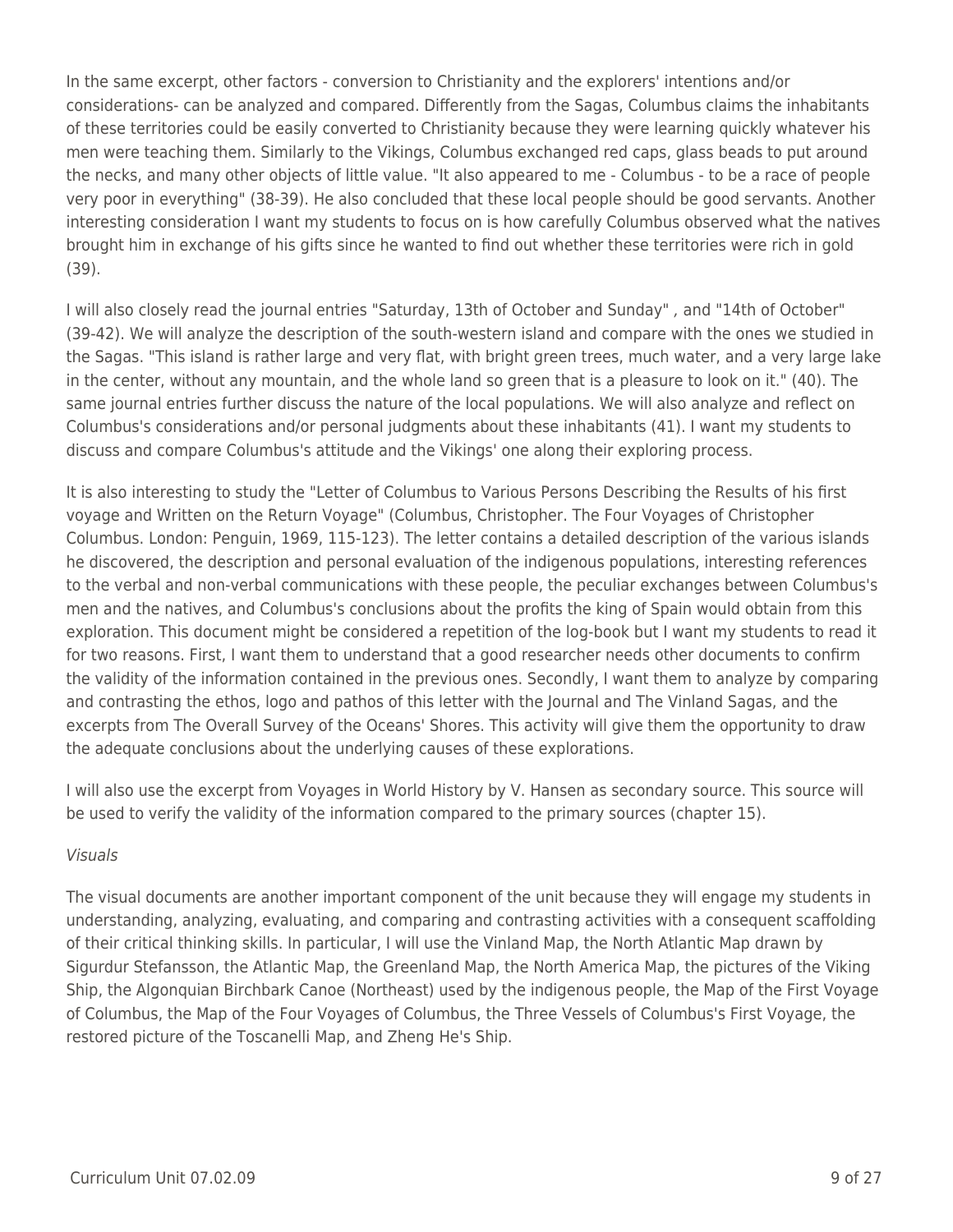In the same excerpt, other factors - conversion to Christianity and the explorers' intentions and/or considerations- can be analyzed and compared. Differently from the Sagas, Columbus claims the inhabitants of these territories could be easily converted to Christianity because they were learning quickly whatever his men were teaching them. Similarly to the Vikings, Columbus exchanged red caps, glass beads to put around the necks, and many other objects of little value. "It also appeared to me - Columbus - to be a race of people very poor in everything" (38-39). He also concluded that these local people should be good servants. Another interesting consideration I want my students to focus on is how carefully Columbus observed what the natives brought him in exchange of his gifts since he wanted to find out whether these territories were rich in gold (39).

I will also closely read the journal entries "Saturday, 13th of October and Sunday" , and "14th of October" (39-42). We will analyze the description of the south-western island and compare with the ones we studied in the Sagas. "This island is rather large and very flat, with bright green trees, much water, and a very large lake in the center, without any mountain, and the whole land so green that is a pleasure to look on it." (40). The same journal entries further discuss the nature of the local populations. We will also analyze and reflect on Columbus's considerations and/or personal judgments about these inhabitants (41). I want my students to discuss and compare Columbus's attitude and the Vikings' one along their exploring process.

It is also interesting to study the "Letter of Columbus to Various Persons Describing the Results of his first voyage and Written on the Return Voyage" (Columbus, Christopher. The Four Voyages of Christopher Columbus. London: Penguin, 1969, 115-123). The letter contains a detailed description of the various islands he discovered, the description and personal evaluation of the indigenous populations, interesting references to the verbal and non-verbal communications with these people, the peculiar exchanges between Columbus's men and the natives, and Columbus's conclusions about the profits the king of Spain would obtain from this exploration. This document might be considered a repetition of the log-book but I want my students to read it for two reasons. First, I want them to understand that a good researcher needs other documents to confirm the validity of the information contained in the previous ones. Secondly, I want them to analyze by comparing and contrasting the ethos, logo and pathos of this letter with the Journal and The Vinland Sagas, and the excerpts from The Overall Survey of the Oceans' Shores. This activity will give them the opportunity to draw the adequate conclusions about the underlying causes of these explorations.

I will also use the excerpt from Voyages in World History by V. Hansen as secondary source. This source will be used to verify the validity of the information compared to the primary sources (chapter 15).

#### Visuals

The visual documents are another important component of the unit because they will engage my students in understanding, analyzing, evaluating, and comparing and contrasting activities with a consequent scaffolding of their critical thinking skills. In particular, I will use the Vinland Map, the North Atlantic Map drawn by Sigurdur Stefansson, the Atlantic Map, the Greenland Map, the North America Map, the pictures of the Viking Ship, the Algonquian Birchbark Canoe (Northeast) used by the indigenous people, the Map of the First Voyage of Columbus, the Map of the Four Voyages of Columbus, the Three Vessels of Columbus's First Voyage, the restored picture of the Toscanelli Map, and Zheng He's Ship.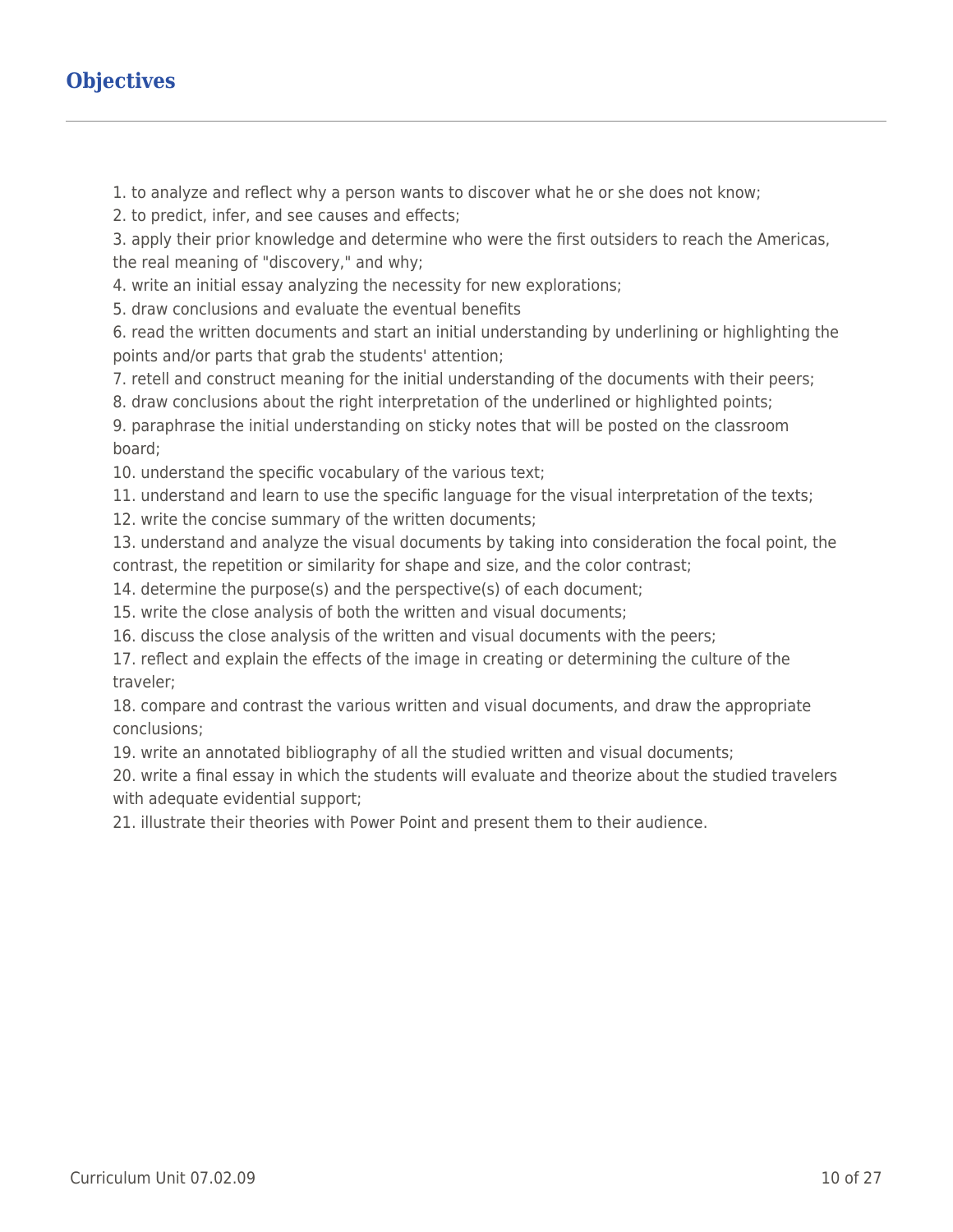# **Objectives**

1. to analyze and reflect why a person wants to discover what he or she does not know;

2. to predict, infer, and see causes and effects;

3. apply their prior knowledge and determine who were the first outsiders to reach the Americas, the real meaning of "discovery," and why;

4. write an initial essay analyzing the necessity for new explorations;

5. draw conclusions and evaluate the eventual benefits

6. read the written documents and start an initial understanding by underlining or highlighting the points and/or parts that grab the students' attention;

7. retell and construct meaning for the initial understanding of the documents with their peers;

8. draw conclusions about the right interpretation of the underlined or highlighted points;

9. paraphrase the initial understanding on sticky notes that will be posted on the classroom board;

10. understand the specific vocabulary of the various text;

11. understand and learn to use the specific language for the visual interpretation of the texts;

12. write the concise summary of the written documents;

13. understand and analyze the visual documents by taking into consideration the focal point, the contrast, the repetition or similarity for shape and size, and the color contrast;

14. determine the purpose(s) and the perspective(s) of each document;

15. write the close analysis of both the written and visual documents;

16. discuss the close analysis of the written and visual documents with the peers;

17. reflect and explain the effects of the image in creating or determining the culture of the traveler;

18. compare and contrast the various written and visual documents, and draw the appropriate conclusions;

19. write an annotated bibliography of all the studied written and visual documents;

20. write a final essay in which the students will evaluate and theorize about the studied travelers with adequate evidential support;

21. illustrate their theories with Power Point and present them to their audience.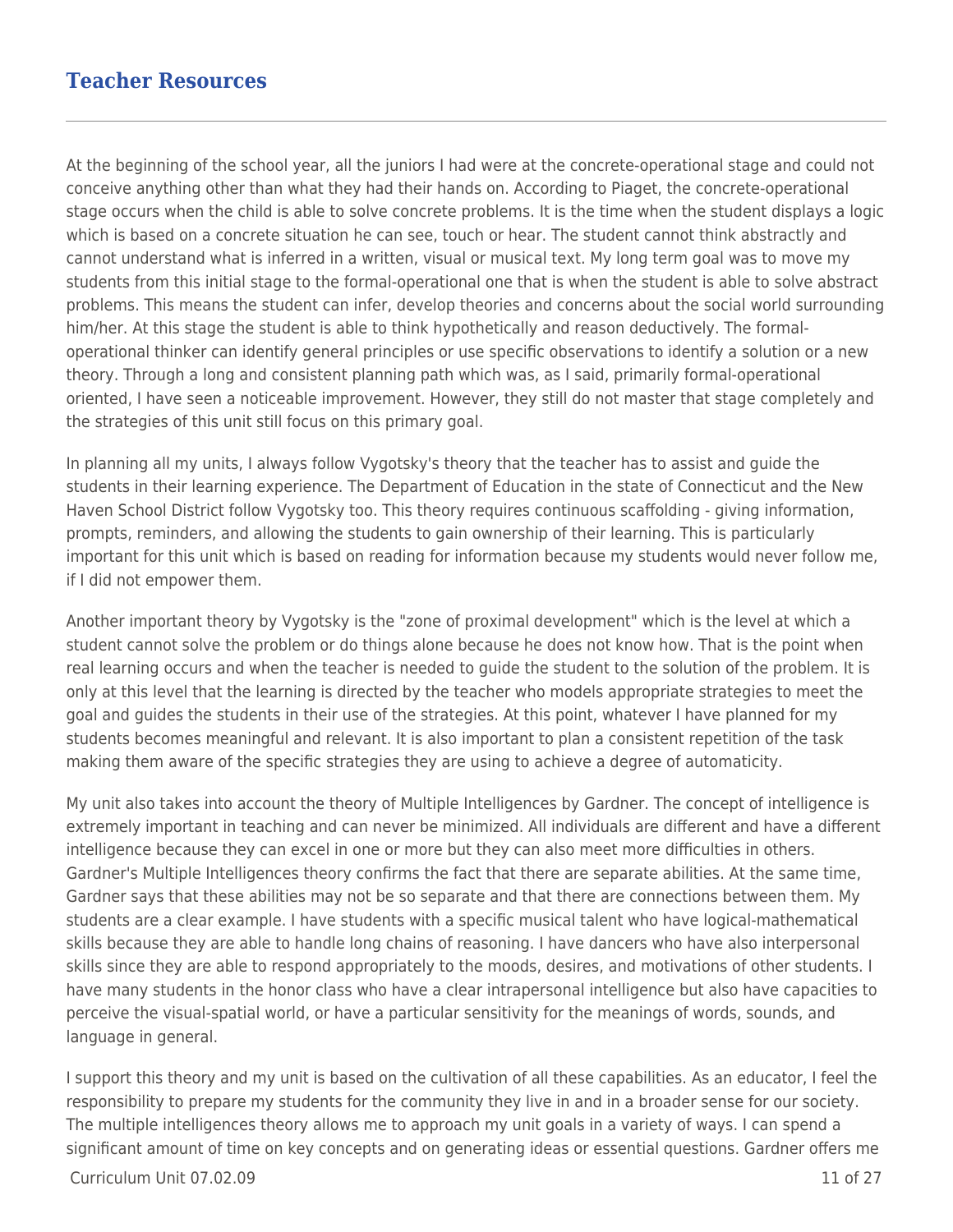## **Teacher Resources**

At the beginning of the school year, all the juniors I had were at the concrete-operational stage and could not conceive anything other than what they had their hands on. According to Piaget, the concrete-operational stage occurs when the child is able to solve concrete problems. It is the time when the student displays a logic which is based on a concrete situation he can see, touch or hear. The student cannot think abstractly and cannot understand what is inferred in a written, visual or musical text. My long term goal was to move my students from this initial stage to the formal-operational one that is when the student is able to solve abstract problems. This means the student can infer, develop theories and concerns about the social world surrounding him/her. At this stage the student is able to think hypothetically and reason deductively. The formaloperational thinker can identify general principles or use specific observations to identify a solution or a new theory. Through a long and consistent planning path which was, as I said, primarily formal-operational oriented, I have seen a noticeable improvement. However, they still do not master that stage completely and the strategies of this unit still focus on this primary goal.

In planning all my units, I always follow Vygotsky's theory that the teacher has to assist and guide the students in their learning experience. The Department of Education in the state of Connecticut and the New Haven School District follow Vygotsky too. This theory requires continuous scaffolding - giving information, prompts, reminders, and allowing the students to gain ownership of their learning. This is particularly important for this unit which is based on reading for information because my students would never follow me, if I did not empower them.

Another important theory by Vygotsky is the "zone of proximal development" which is the level at which a student cannot solve the problem or do things alone because he does not know how. That is the point when real learning occurs and when the teacher is needed to guide the student to the solution of the problem. It is only at this level that the learning is directed by the teacher who models appropriate strategies to meet the goal and guides the students in their use of the strategies. At this point, whatever I have planned for my students becomes meaningful and relevant. It is also important to plan a consistent repetition of the task making them aware of the specific strategies they are using to achieve a degree of automaticity.

My unit also takes into account the theory of Multiple Intelligences by Gardner. The concept of intelligence is extremely important in teaching and can never be minimized. All individuals are different and have a different intelligence because they can excel in one or more but they can also meet more difficulties in others. Gardner's Multiple Intelligences theory confirms the fact that there are separate abilities. At the same time, Gardner says that these abilities may not be so separate and that there are connections between them. My students are a clear example. I have students with a specific musical talent who have logical-mathematical skills because they are able to handle long chains of reasoning. I have dancers who have also interpersonal skills since they are able to respond appropriately to the moods, desires, and motivations of other students. I have many students in the honor class who have a clear intrapersonal intelligence but also have capacities to perceive the visual-spatial world, or have a particular sensitivity for the meanings of words, sounds, and language in general.

I support this theory and my unit is based on the cultivation of all these capabilities. As an educator, I feel the responsibility to prepare my students for the community they live in and in a broader sense for our society. The multiple intelligences theory allows me to approach my unit goals in a variety of ways. I can spend a significant amount of time on key concepts and on generating ideas or essential questions. Gardner offers me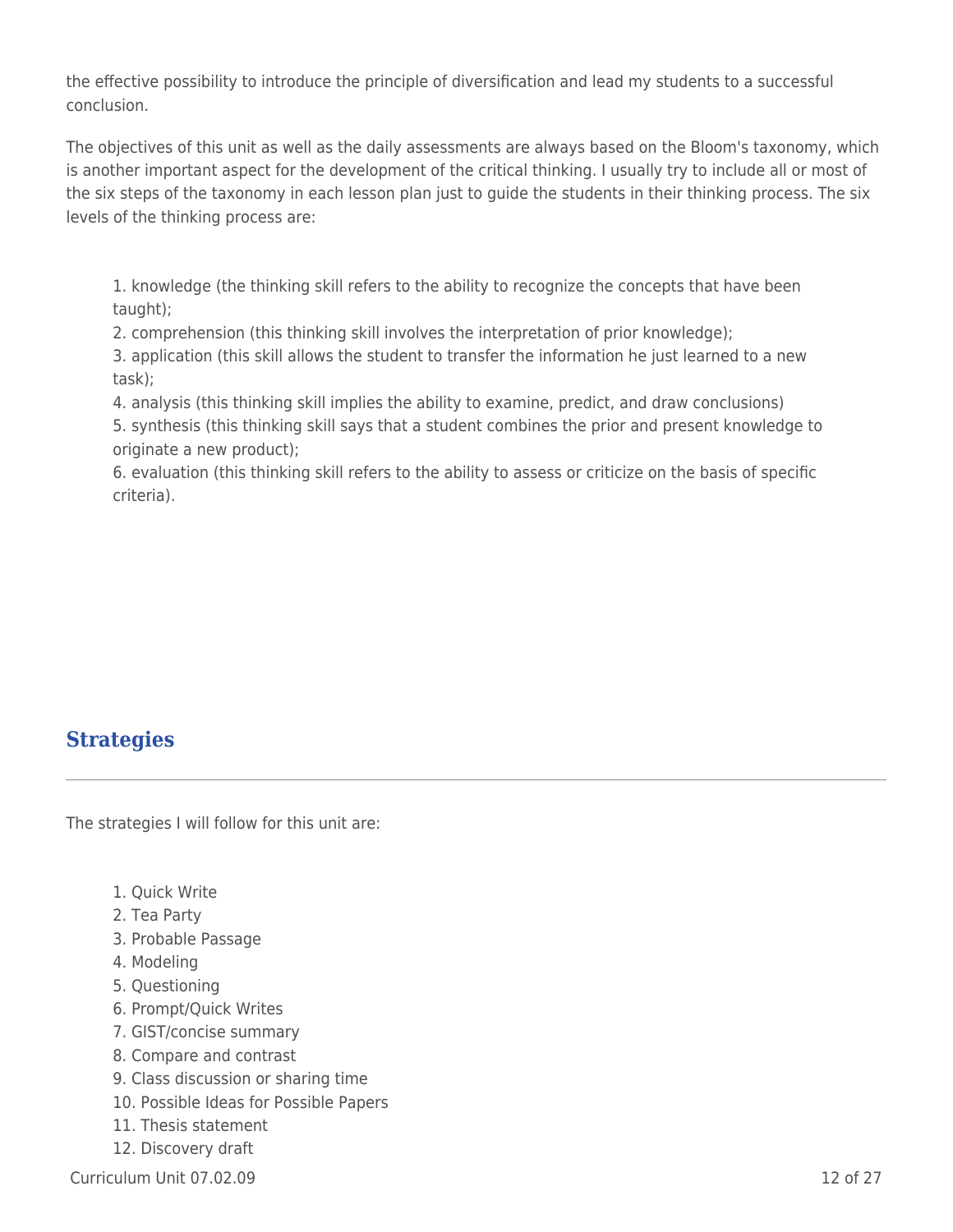the effective possibility to introduce the principle of diversification and lead my students to a successful conclusion.

The objectives of this unit as well as the daily assessments are always based on the Bloom's taxonomy, which is another important aspect for the development of the critical thinking. I usually try to include all or most of the six steps of the taxonomy in each lesson plan just to guide the students in their thinking process. The six levels of the thinking process are:

1. knowledge (the thinking skill refers to the ability to recognize the concepts that have been taught);

2. comprehension (this thinking skill involves the interpretation of prior knowledge);

3. application (this skill allows the student to transfer the information he just learned to a new task);

4. analysis (this thinking skill implies the ability to examine, predict, and draw conclusions)

5. synthesis (this thinking skill says that a student combines the prior and present knowledge to originate a new product);

6. evaluation (this thinking skill refers to the ability to assess or criticize on the basis of specific criteria).

# **Strategies**

The strategies I will follow for this unit are:

- 1. Quick Write
- 2. Tea Party
- 3. Probable Passage
- 4. Modeling
- 5. Questioning
- 6. Prompt/Quick Writes
- 7. GIST/concise summary
- 8. Compare and contrast
- 9. Class discussion or sharing time
- 10. Possible Ideas for Possible Papers
- 11. Thesis statement
- 12. Discovery draft

 $C$ urriculum Unit 07.02.09  $\qquad \qquad$  12 of 27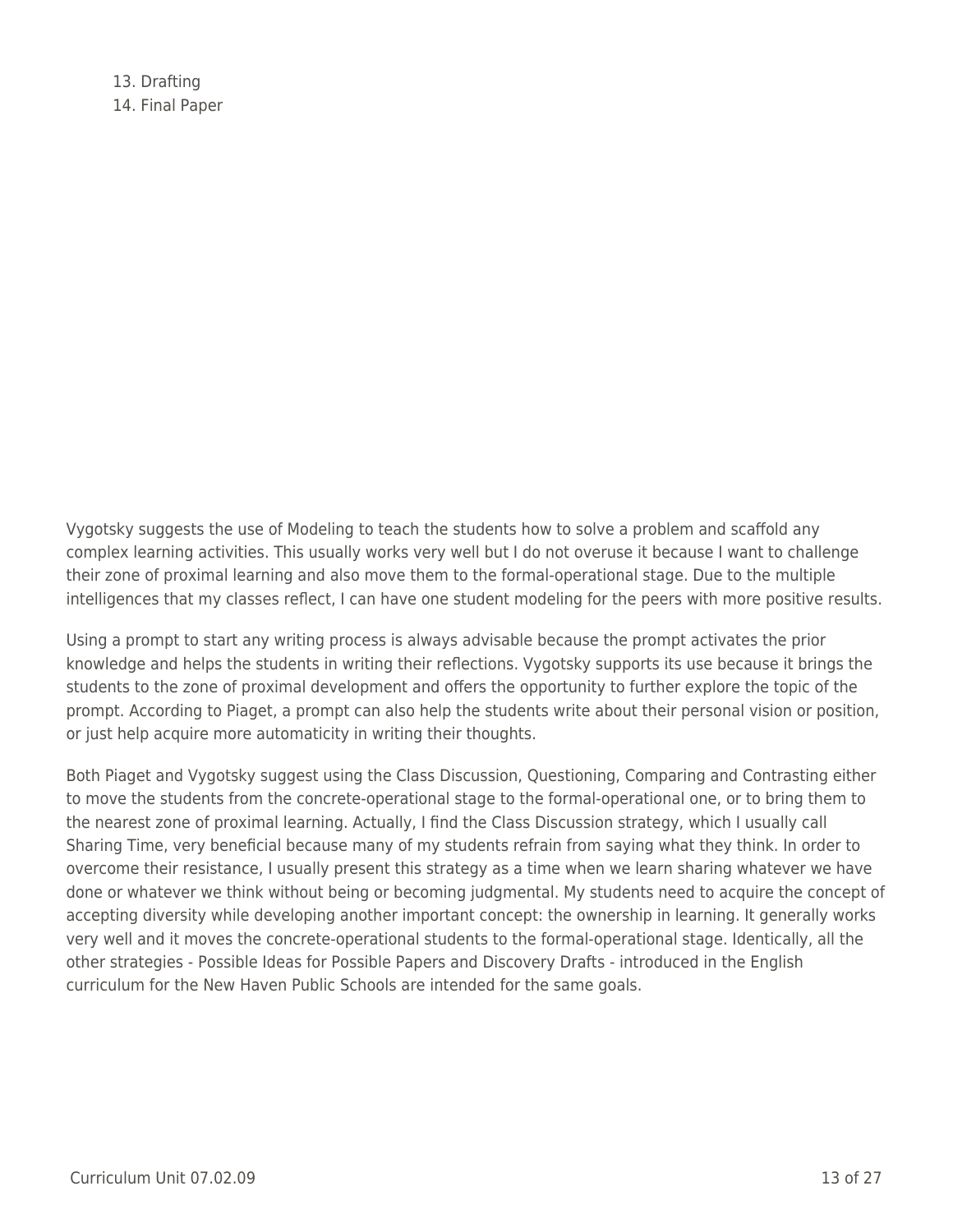13. Drafting 14. Final Paper

Vygotsky suggests the use of Modeling to teach the students how to solve a problem and scaffold any complex learning activities. This usually works very well but I do not overuse it because I want to challenge their zone of proximal learning and also move them to the formal-operational stage. Due to the multiple intelligences that my classes reflect, I can have one student modeling for the peers with more positive results.

Using a prompt to start any writing process is always advisable because the prompt activates the prior knowledge and helps the students in writing their reflections. Vygotsky supports its use because it brings the students to the zone of proximal development and offers the opportunity to further explore the topic of the prompt. According to Piaget, a prompt can also help the students write about their personal vision or position, or just help acquire more automaticity in writing their thoughts.

Both Piaget and Vygotsky suggest using the Class Discussion, Questioning, Comparing and Contrasting either to move the students from the concrete-operational stage to the formal-operational one, or to bring them to the nearest zone of proximal learning. Actually, I find the Class Discussion strategy, which I usually call Sharing Time, very beneficial because many of my students refrain from saying what they think. In order to overcome their resistance, I usually present this strategy as a time when we learn sharing whatever we have done or whatever we think without being or becoming judgmental. My students need to acquire the concept of accepting diversity while developing another important concept: the ownership in learning. It generally works very well and it moves the concrete-operational students to the formal-operational stage. Identically, all the other strategies - Possible Ideas for Possible Papers and Discovery Drafts - introduced in the English curriculum for the New Haven Public Schools are intended for the same goals.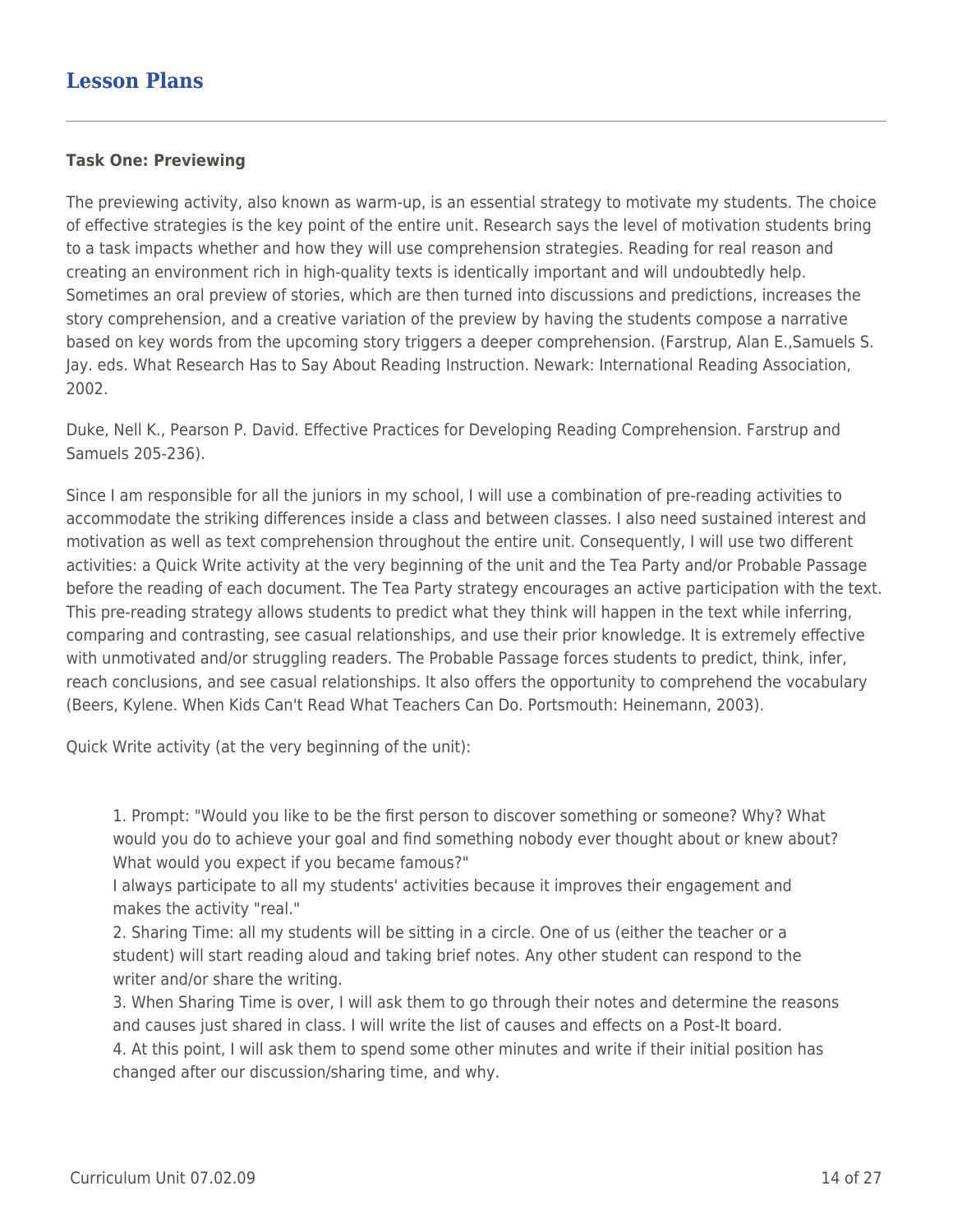#### **Task One: Previewing**

The previewing activity, also known as warm-up, is an essential strategy to motivate my students. The choice of effective strategies is the key point of the entire unit. Research says the level of motivation students bring to a task impacts whether and how they will use comprehension strategies. Reading for real reason and creating an environment rich in high-quality texts is identically important and will undoubtedly help. Sometimes an oral preview of stories, which are then turned into discussions and predictions, increases the story comprehension, and a creative variation of the preview by having the students compose a narrative based on key words from the upcoming story triggers a deeper comprehension. (Farstrup, Alan E.,Samuels S. Jay. eds. What Research Has to Say About Reading Instruction. Newark: International Reading Association, 2002.

Duke, Nell K., Pearson P. David. Effective Practices for Developing Reading Comprehension. Farstrup and Samuels 205-236).

Since I am responsible for all the juniors in my school, I will use a combination of pre-reading activities to accommodate the striking differences inside a class and between classes. I also need sustained interest and motivation as well as text comprehension throughout the entire unit. Consequently, I will use two different activities: a Quick Write activity at the very beginning of the unit and the Tea Party and/or Probable Passage before the reading of each document. The Tea Party strategy encourages an active participation with the text. This pre-reading strategy allows students to predict what they think will happen in the text while inferring, comparing and contrasting, see casual relationships, and use their prior knowledge. It is extremely effective with unmotivated and/or struggling readers. The Probable Passage forces students to predict, think, infer, reach conclusions, and see casual relationships. It also offers the opportunity to comprehend the vocabulary (Beers, Kylene. When Kids Can't Read What Teachers Can Do. Portsmouth: Heinemann, 2003).

Quick Write activity (at the very beginning of the unit):

1. Prompt: "Would you like to be the first person to discover something or someone? Why? What would you do to achieve your goal and find something nobody ever thought about or knew about? What would you expect if you became famous?"

I always participate to all my students' activities because it improves their engagement and makes the activity "real."

2. Sharing Time: all my students will be sitting in a circle. One of us (either the teacher or a student) will start reading aloud and taking brief notes. Any other student can respond to the writer and/or share the writing.

3. When Sharing Time is over, I will ask them to go through their notes and determine the reasons and causes just shared in class. I will write the list of causes and effects on a Post-It board. 4. At this point, I will ask them to spend some other minutes and write if their initial position has changed after our discussion/sharing time, and why.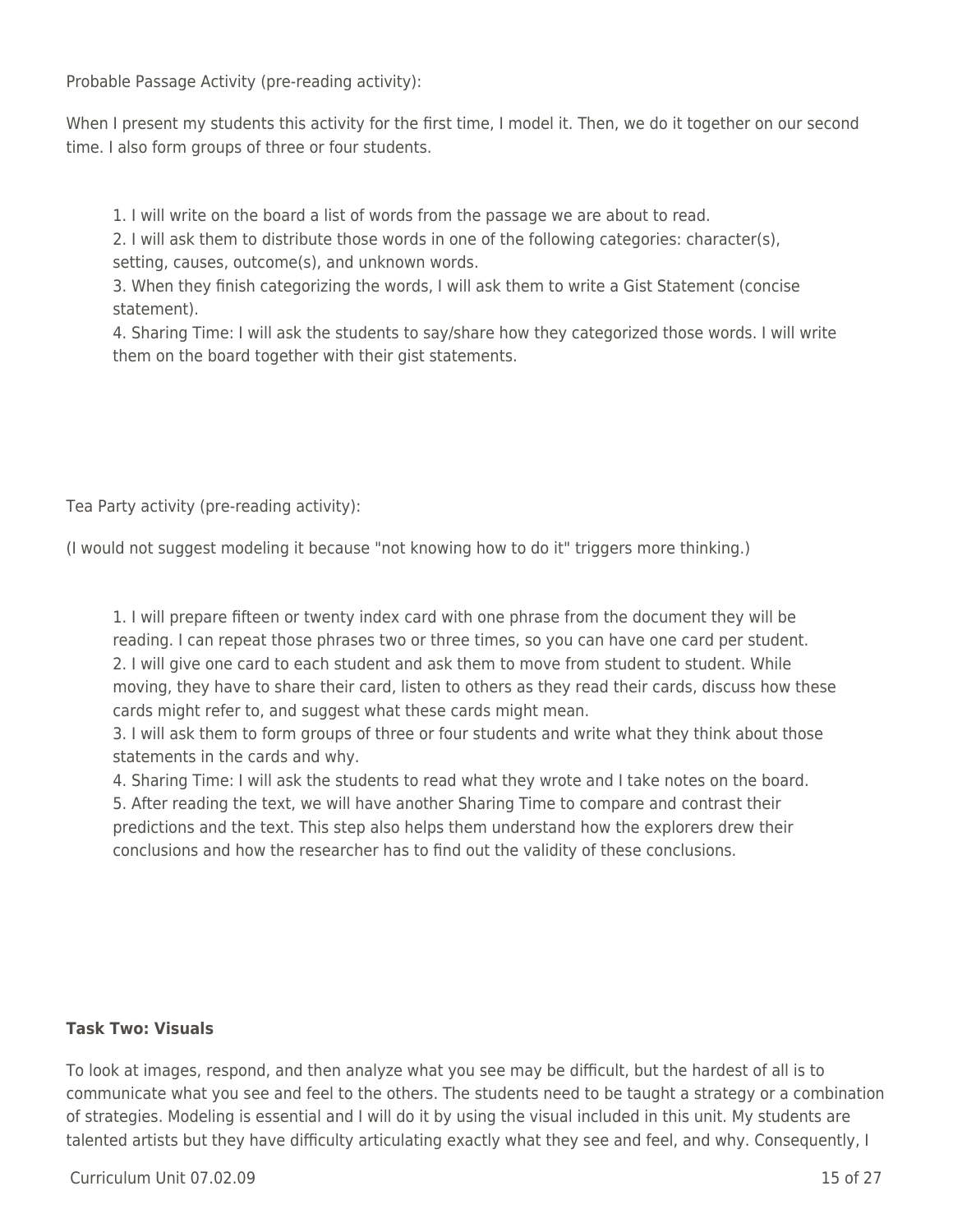Probable Passage Activity (pre-reading activity):

When I present my students this activity for the first time, I model it. Then, we do it together on our second time. I also form groups of three or four students.

1. I will write on the board a list of words from the passage we are about to read.

2. I will ask them to distribute those words in one of the following categories: character(s), setting, causes, outcome(s), and unknown words.

3. When they finish categorizing the words, I will ask them to write a Gist Statement (concise statement).

4. Sharing Time: I will ask the students to say/share how they categorized those words. I will write them on the board together with their gist statements.

Tea Party activity (pre-reading activity):

(I would not suggest modeling it because "not knowing how to do it" triggers more thinking.)

1. I will prepare fifteen or twenty index card with one phrase from the document they will be reading. I can repeat those phrases two or three times, so you can have one card per student. 2. I will give one card to each student and ask them to move from student to student. While moving, they have to share their card, listen to others as they read their cards, discuss how these cards might refer to, and suggest what these cards might mean.

3. I will ask them to form groups of three or four students and write what they think about those statements in the cards and why.

4. Sharing Time: I will ask the students to read what they wrote and I take notes on the board.

5. After reading the text, we will have another Sharing Time to compare and contrast their predictions and the text. This step also helps them understand how the explorers drew their conclusions and how the researcher has to find out the validity of these conclusions.

### **Task Two: Visuals**

To look at images, respond, and then analyze what you see may be difficult, but the hardest of all is to communicate what you see and feel to the others. The students need to be taught a strategy or a combination of strategies. Modeling is essential and I will do it by using the visual included in this unit. My students are talented artists but they have difficulty articulating exactly what they see and feel, and why. Consequently, I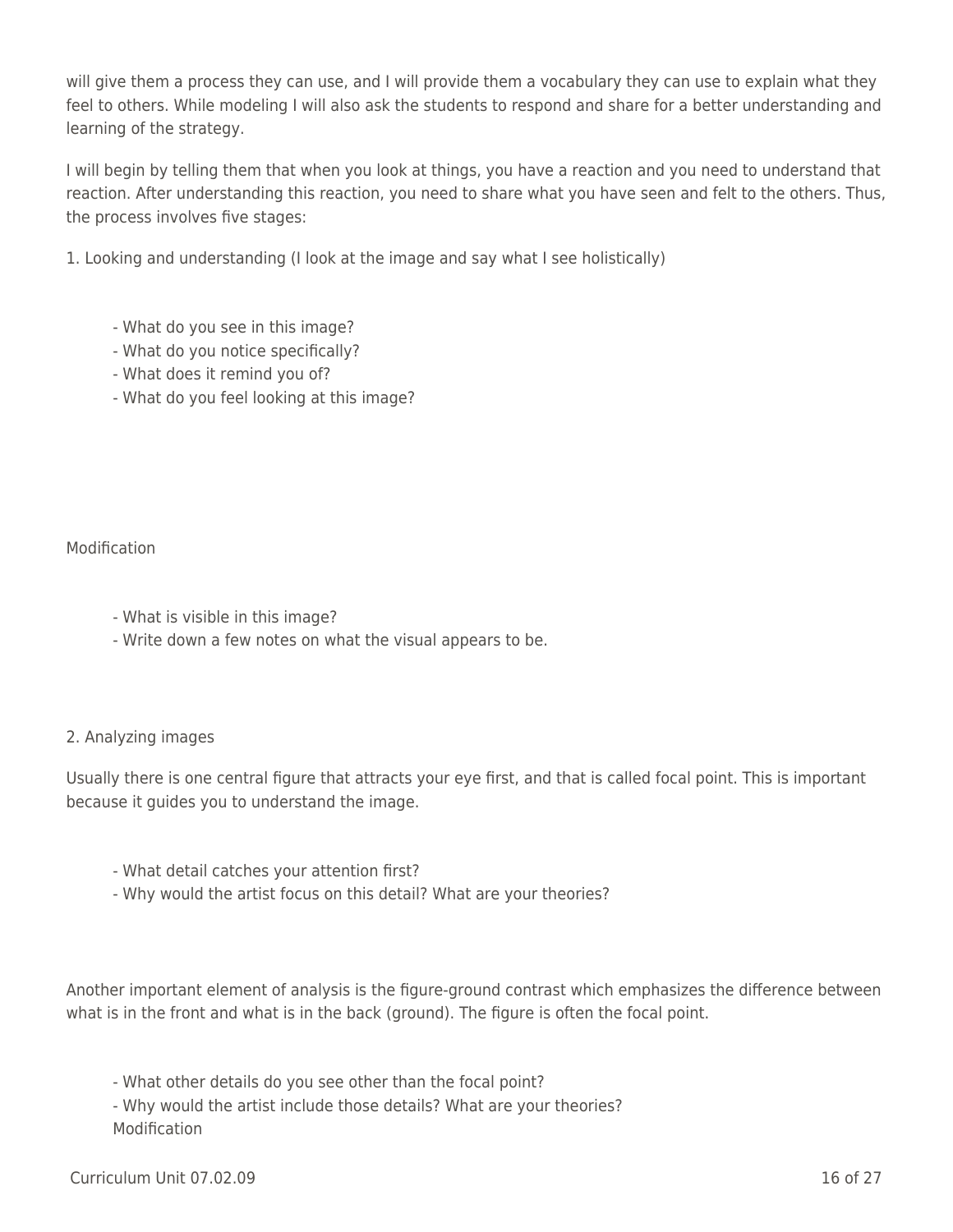will give them a process they can use, and I will provide them a vocabulary they can use to explain what they feel to others. While modeling I will also ask the students to respond and share for a better understanding and learning of the strategy.

I will begin by telling them that when you look at things, you have a reaction and you need to understand that reaction. After understanding this reaction, you need to share what you have seen and felt to the others. Thus, the process involves five stages:

1. Looking and understanding (I look at the image and say what I see holistically)

- What do you see in this image?
- What do you notice specifically?
- What does it remind you of?
- What do you feel looking at this image?

### Modification

- What is visible in this image?
- Write down a few notes on what the visual appears to be.

### 2. Analyzing images

Usually there is one central figure that attracts your eye first, and that is called focal point. This is important because it guides you to understand the image.

- What detail catches your attention first?
- Why would the artist focus on this detail? What are your theories?

Another important element of analysis is the figure-ground contrast which emphasizes the difference between what is in the front and what is in the back (ground). The figure is often the focal point.

- What other details do you see other than the focal point?

- Why would the artist include those details? What are your theories? **Modification**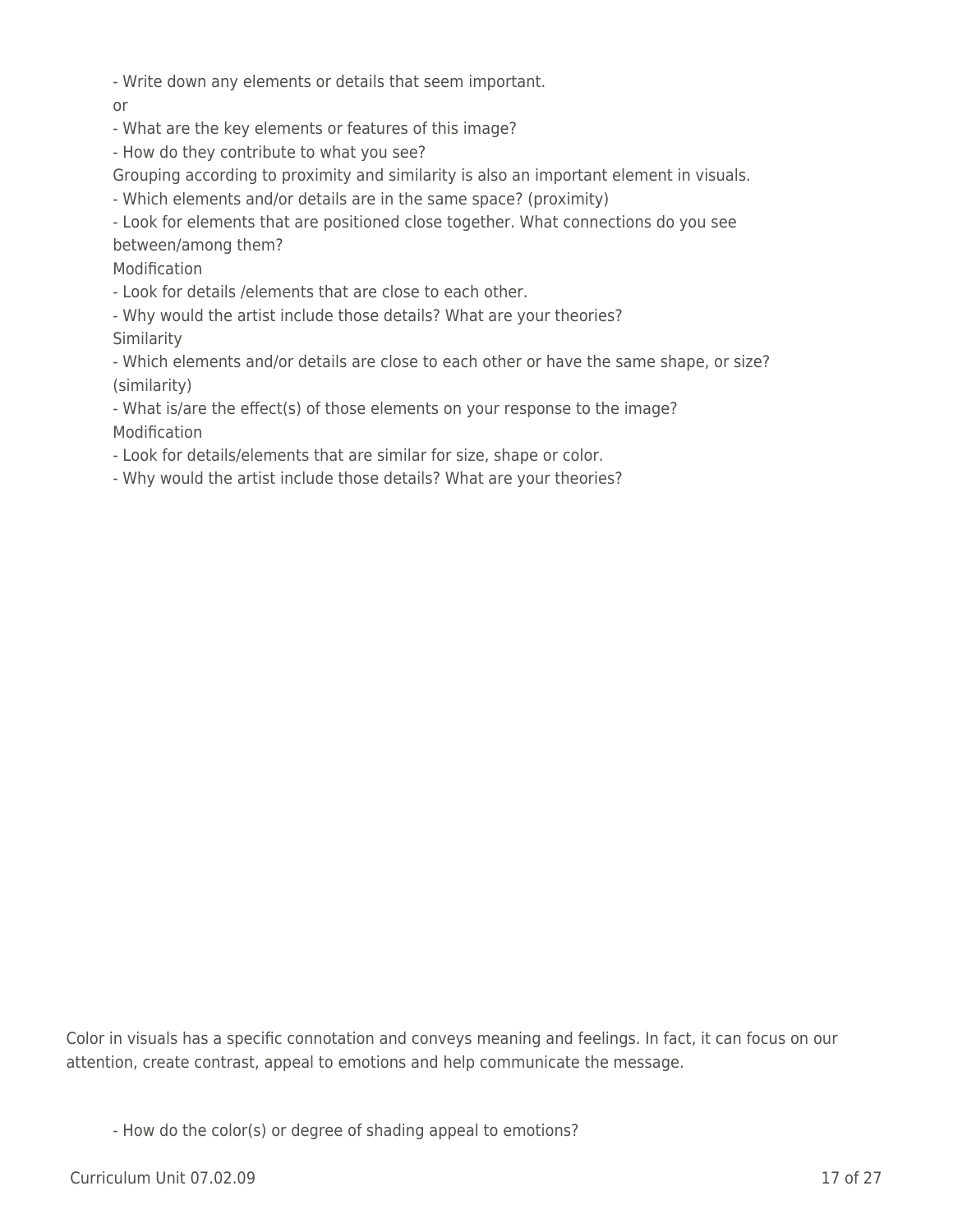- Write down any elements or details that seem important.

or

- What are the key elements or features of this image?

- How do they contribute to what you see?

Grouping according to proximity and similarity is also an important element in visuals.

- Which elements and/or details are in the same space? (proximity)

- Look for elements that are positioned close together. What connections do you see between/among them?

Modification

- Look for details /elements that are close to each other.

- Why would the artist include those details? What are your theories? Similarity

- Which elements and/or details are close to each other or have the same shape, or size? (similarity)

- What is/are the effect(s) of those elements on your response to the image? Modification

- Look for details/elements that are similar for size, shape or color.

- Why would the artist include those details? What are your theories?

Color in visuals has a specific connotation and conveys meaning and feelings. In fact, it can focus on our attention, create contrast, appeal to emotions and help communicate the message.

- How do the color(s) or degree of shading appeal to emotions?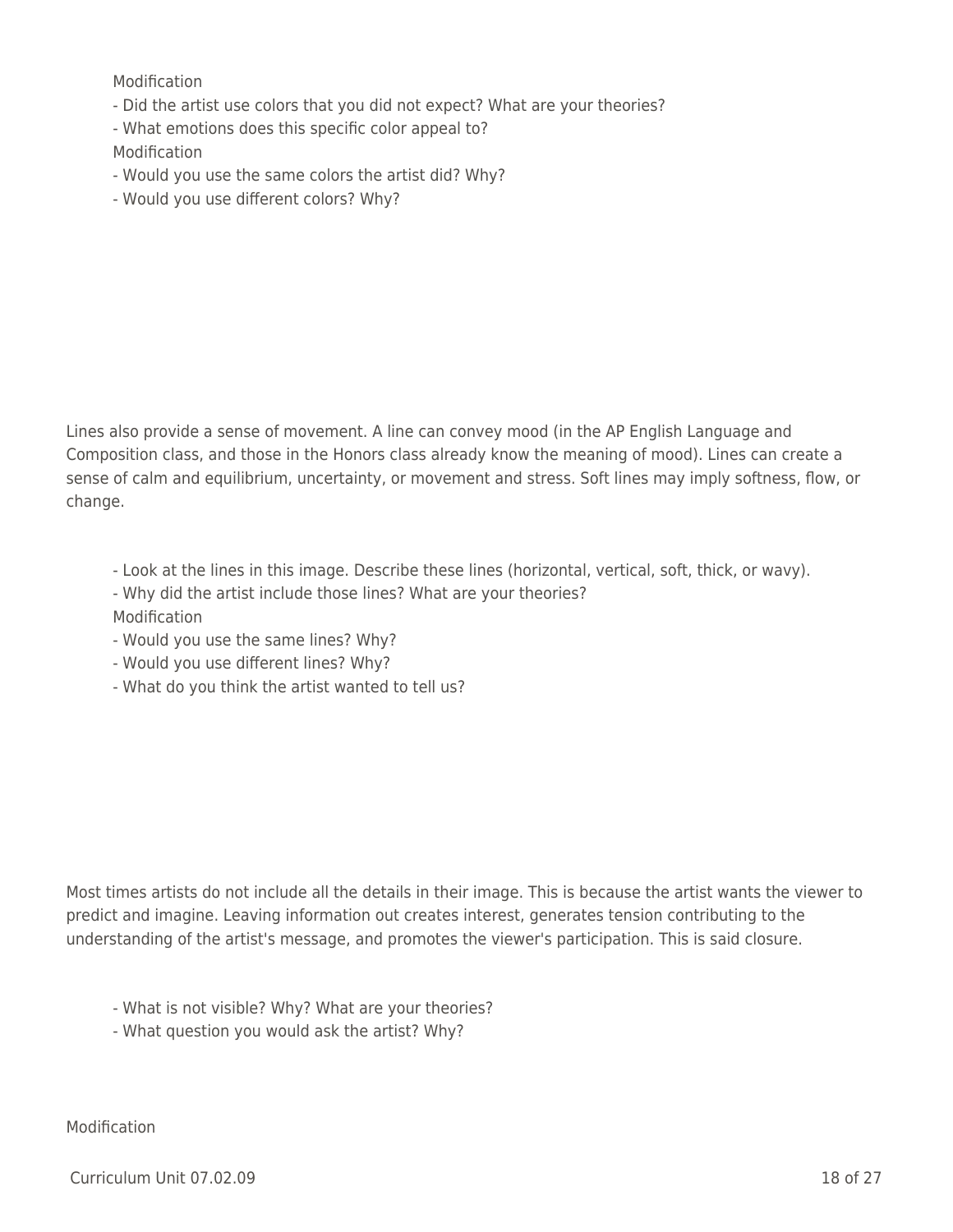Modification

- Did the artist use colors that you did not expect? What are your theories?
- What emotions does this specific color appeal to?

Modification

- Would you use the same colors the artist did? Why?
- Would you use different colors? Why?

Lines also provide a sense of movement. A line can convey mood (in the AP English Language and Composition class, and those in the Honors class already know the meaning of mood). Lines can create a sense of calm and equilibrium, uncertainty, or movement and stress. Soft lines may imply softness, flow, or change.

- Look at the lines in this image. Describe these lines (horizontal, vertical, soft, thick, or wavy).
- Why did the artist include those lines? What are your theories?
- **Modification**
- Would you use the same lines? Why?
- Would you use different lines? Why?
- What do you think the artist wanted to tell us?

Most times artists do not include all the details in their image. This is because the artist wants the viewer to predict and imagine. Leaving information out creates interest, generates tension contributing to the understanding of the artist's message, and promotes the viewer's participation. This is said closure.

- What is not visible? Why? What are your theories?
- What question you would ask the artist? Why?

Modification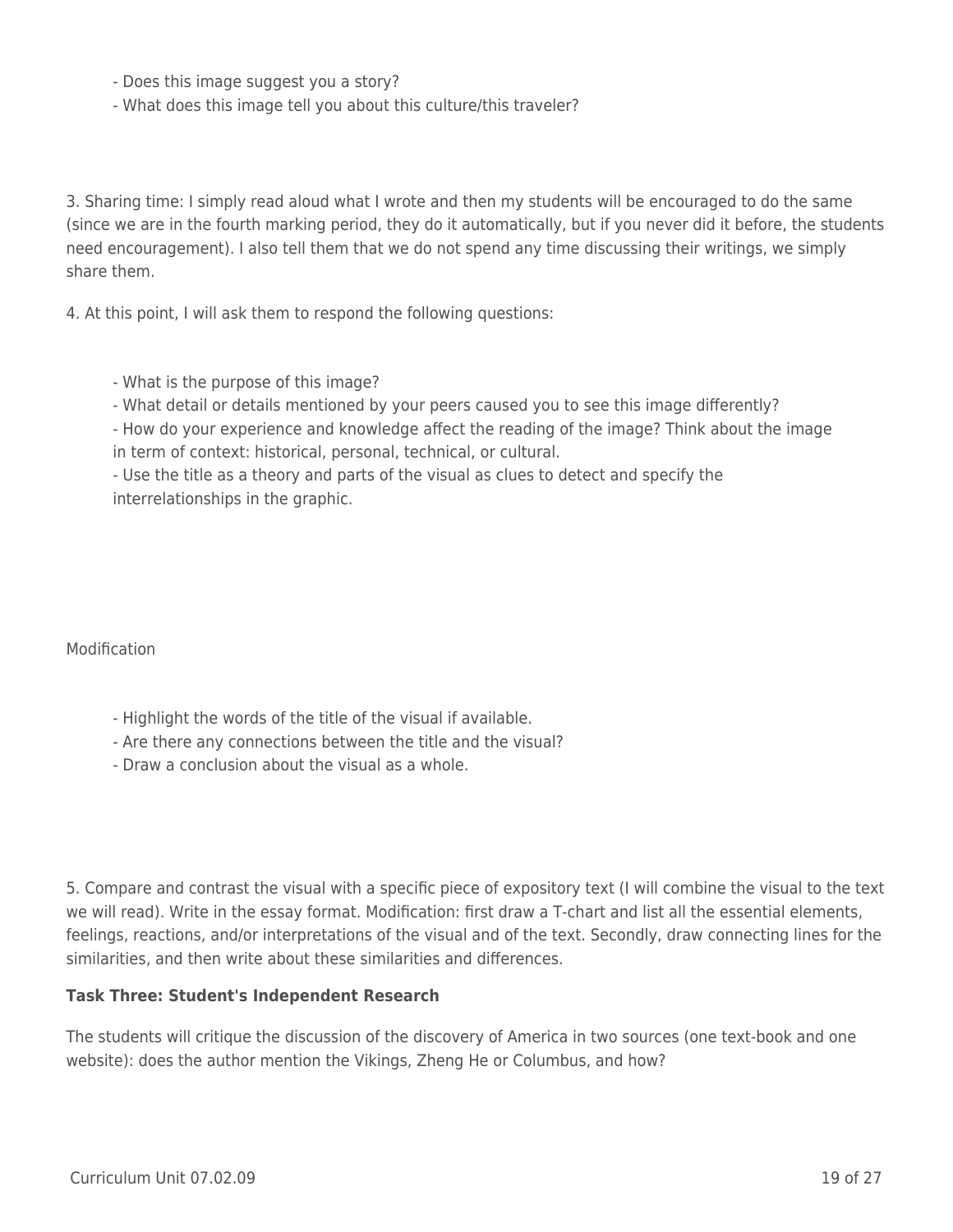- Does this image suggest you a story?
- What does this image tell you about this culture/this traveler?

3. Sharing time: I simply read aloud what I wrote and then my students will be encouraged to do the same (since we are in the fourth marking period, they do it automatically, but if you never did it before, the students need encouragement). I also tell them that we do not spend any time discussing their writings, we simply share them.

4. At this point, I will ask them to respond the following questions:

- What is the purpose of this image?
- What detail or details mentioned by your peers caused you to see this image differently?
- How do your experience and knowledge affect the reading of the image? Think about the image in term of context: historical, personal, technical, or cultural.

- Use the title as a theory and parts of the visual as clues to detect and specify the interrelationships in the graphic.

Modification

- Highlight the words of the title of the visual if available.
- Are there any connections between the title and the visual?
- Draw a conclusion about the visual as a whole.

5. Compare and contrast the visual with a specific piece of expository text (I will combine the visual to the text we will read). Write in the essay format. Modification: first draw a T-chart and list all the essential elements, feelings, reactions, and/or interpretations of the visual and of the text. Secondly, draw connecting lines for the similarities, and then write about these similarities and differences.

#### **Task Three: Student's Independent Research**

The students will critique the discussion of the discovery of America in two sources (one text-book and one website): does the author mention the Vikings, Zheng He or Columbus, and how?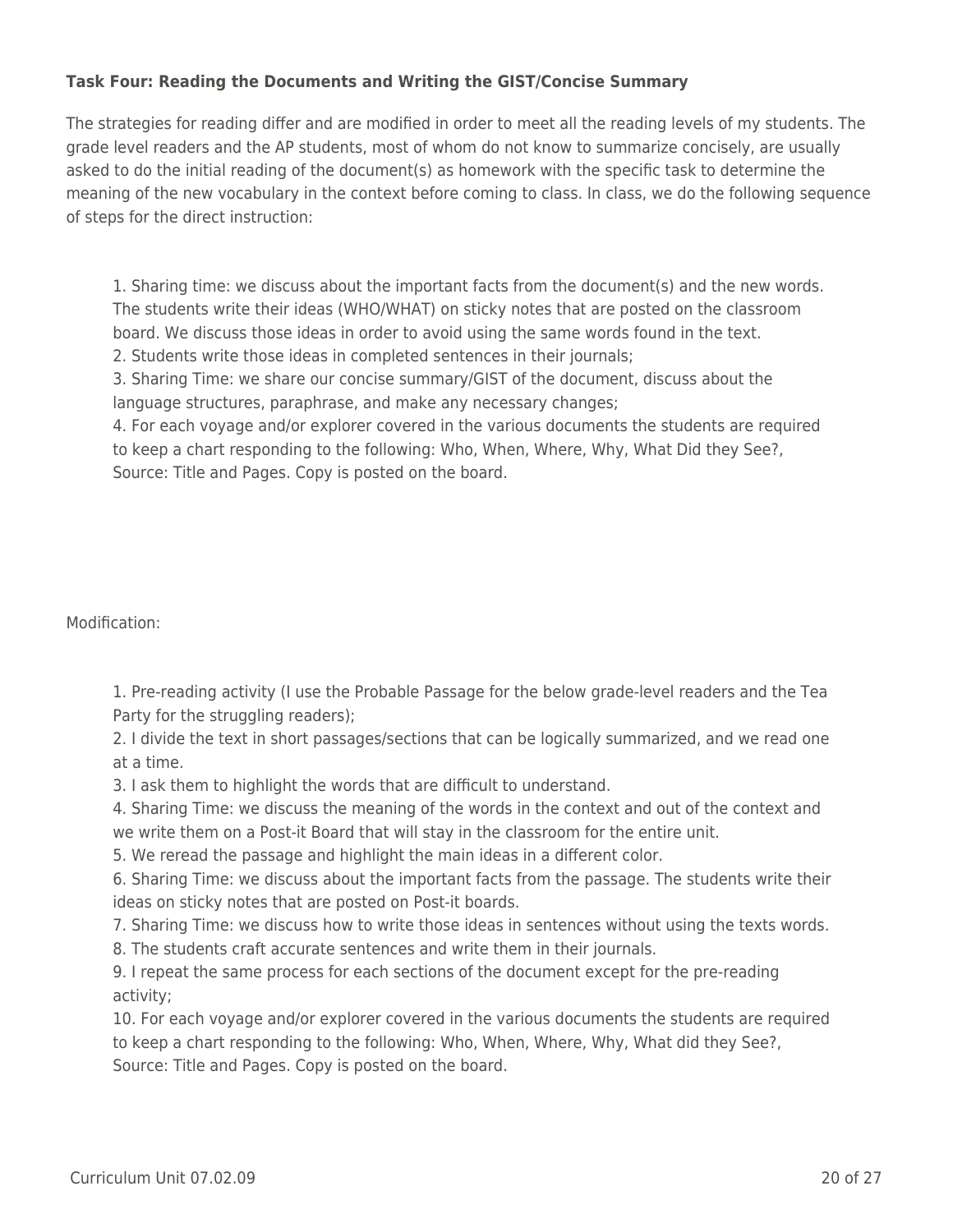### **Task Four: Reading the Documents and Writing the GIST/Concise Summary**

The strategies for reading differ and are modified in order to meet all the reading levels of my students. The grade level readers and the AP students, most of whom do not know to summarize concisely, are usually asked to do the initial reading of the document(s) as homework with the specific task to determine the meaning of the new vocabulary in the context before coming to class. In class, we do the following sequence of steps for the direct instruction:

1. Sharing time: we discuss about the important facts from the document(s) and the new words. The students write their ideas (WHO/WHAT) on sticky notes that are posted on the classroom board. We discuss those ideas in order to avoid using the same words found in the text.

2. Students write those ideas in completed sentences in their journals;

3. Sharing Time: we share our concise summary/GIST of the document, discuss about the language structures, paraphrase, and make any necessary changes;

4. For each voyage and/or explorer covered in the various documents the students are required to keep a chart responding to the following: Who, When, Where, Why, What Did they See?, Source: Title and Pages. Copy is posted on the board.

### Modification:

1. Pre-reading activity (I use the Probable Passage for the below grade-level readers and the Tea Party for the struggling readers);

2. I divide the text in short passages/sections that can be logically summarized, and we read one at a time.

3. I ask them to highlight the words that are difficult to understand.

4. Sharing Time: we discuss the meaning of the words in the context and out of the context and we write them on a Post-it Board that will stay in the classroom for the entire unit.

5. We reread the passage and highlight the main ideas in a different color.

6. Sharing Time: we discuss about the important facts from the passage. The students write their ideas on sticky notes that are posted on Post-it boards.

7. Sharing Time: we discuss how to write those ideas in sentences without using the texts words.

8. The students craft accurate sentences and write them in their journals.

9. I repeat the same process for each sections of the document except for the pre-reading activity;

10. For each voyage and/or explorer covered in the various documents the students are required to keep a chart responding to the following: Who, When, Where, Why, What did they See?, Source: Title and Pages. Copy is posted on the board.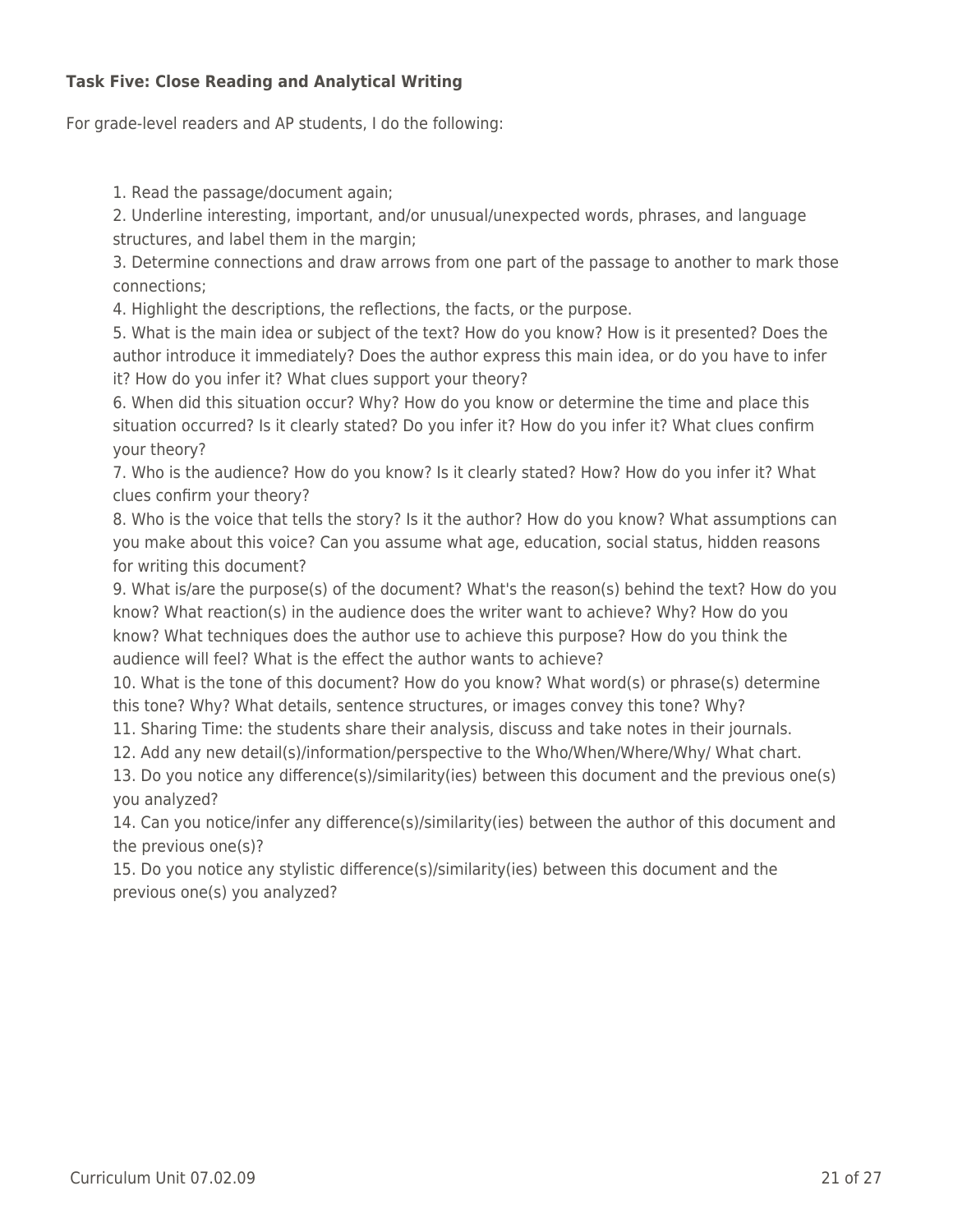### **Task Five: Close Reading and Analytical Writing**

For grade-level readers and AP students, I do the following:

1. Read the passage/document again;

2. Underline interesting, important, and/or unusual/unexpected words, phrases, and language structures, and label them in the margin;

3. Determine connections and draw arrows from one part of the passage to another to mark those connections;

4. Highlight the descriptions, the reflections, the facts, or the purpose.

5. What is the main idea or subject of the text? How do you know? How is it presented? Does the author introduce it immediately? Does the author express this main idea, or do you have to infer it? How do you infer it? What clues support your theory?

6. When did this situation occur? Why? How do you know or determine the time and place this situation occurred? Is it clearly stated? Do you infer it? How do you infer it? What clues confirm your theory?

7. Who is the audience? How do you know? Is it clearly stated? How? How do you infer it? What clues confirm your theory?

8. Who is the voice that tells the story? Is it the author? How do you know? What assumptions can you make about this voice? Can you assume what age, education, social status, hidden reasons for writing this document?

9. What is/are the purpose(s) of the document? What's the reason(s) behind the text? How do you know? What reaction(s) in the audience does the writer want to achieve? Why? How do you know? What techniques does the author use to achieve this purpose? How do you think the audience will feel? What is the effect the author wants to achieve?

10. What is the tone of this document? How do you know? What word(s) or phrase(s) determine this tone? Why? What details, sentence structures, or images convey this tone? Why?

11. Sharing Time: the students share their analysis, discuss and take notes in their journals.

12. Add any new detail(s)/information/perspective to the Who/When/Where/Why/ What chart.

13. Do you notice any difference(s)/similarity(ies) between this document and the previous one(s) you analyzed?

14. Can you notice/infer any difference(s)/similarity(ies) between the author of this document and the previous one(s)?

15. Do you notice any stylistic difference(s)/similarity(ies) between this document and the previous one(s) you analyzed?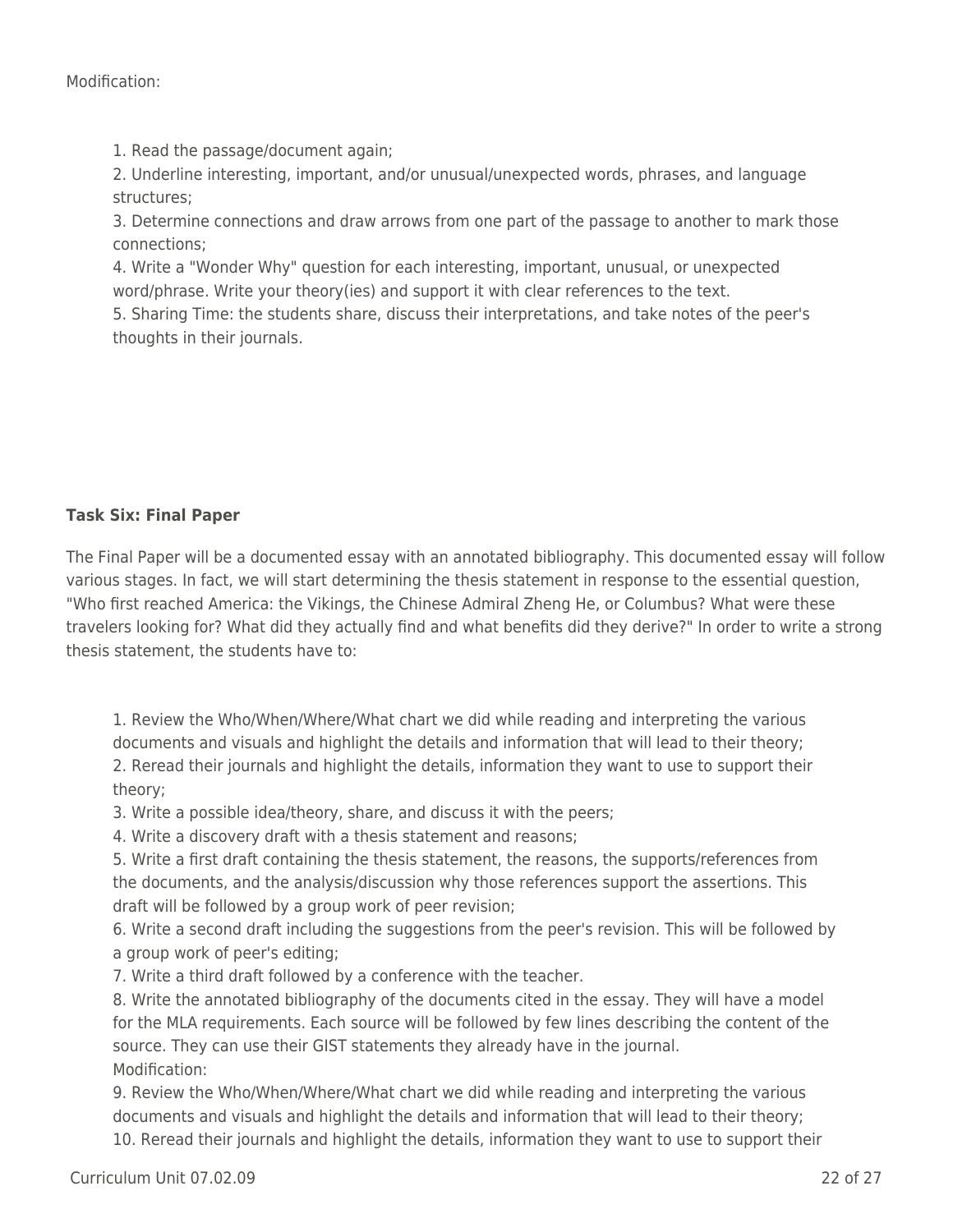1. Read the passage/document again;

2. Underline interesting, important, and/or unusual/unexpected words, phrases, and language structures;

3. Determine connections and draw arrows from one part of the passage to another to mark those connections;

4. Write a "Wonder Why" question for each interesting, important, unusual, or unexpected word/phrase. Write your theory(ies) and support it with clear references to the text.

5. Sharing Time: the students share, discuss their interpretations, and take notes of the peer's thoughts in their journals.

### **Task Six: Final Paper**

The Final Paper will be a documented essay with an annotated bibliography. This documented essay will follow various stages. In fact, we will start determining the thesis statement in response to the essential question, "Who first reached America: the Vikings, the Chinese Admiral Zheng He, or Columbus? What were these travelers looking for? What did they actually find and what benefits did they derive?" In order to write a strong thesis statement, the students have to:

1. Review the Who/When/Where/What chart we did while reading and interpreting the various documents and visuals and highlight the details and information that will lead to their theory; 2. Reread their journals and highlight the details, information they want to use to support their theory;

3. Write a possible idea/theory, share, and discuss it with the peers;

4. Write a discovery draft with a thesis statement and reasons;

5. Write a first draft containing the thesis statement, the reasons, the supports/references from the documents, and the analysis/discussion why those references support the assertions. This draft will be followed by a group work of peer revision;

6. Write a second draft including the suggestions from the peer's revision. This will be followed by a group work of peer's editing;

7. Write a third draft followed by a conference with the teacher.

8. Write the annotated bibliography of the documents cited in the essay. They will have a model for the MLA requirements. Each source will be followed by few lines describing the content of the source. They can use their GIST statements they already have in the journal. Modification:

9. Review the Who/When/Where/What chart we did while reading and interpreting the various documents and visuals and highlight the details and information that will lead to their theory; 10. Reread their journals and highlight the details, information they want to use to support their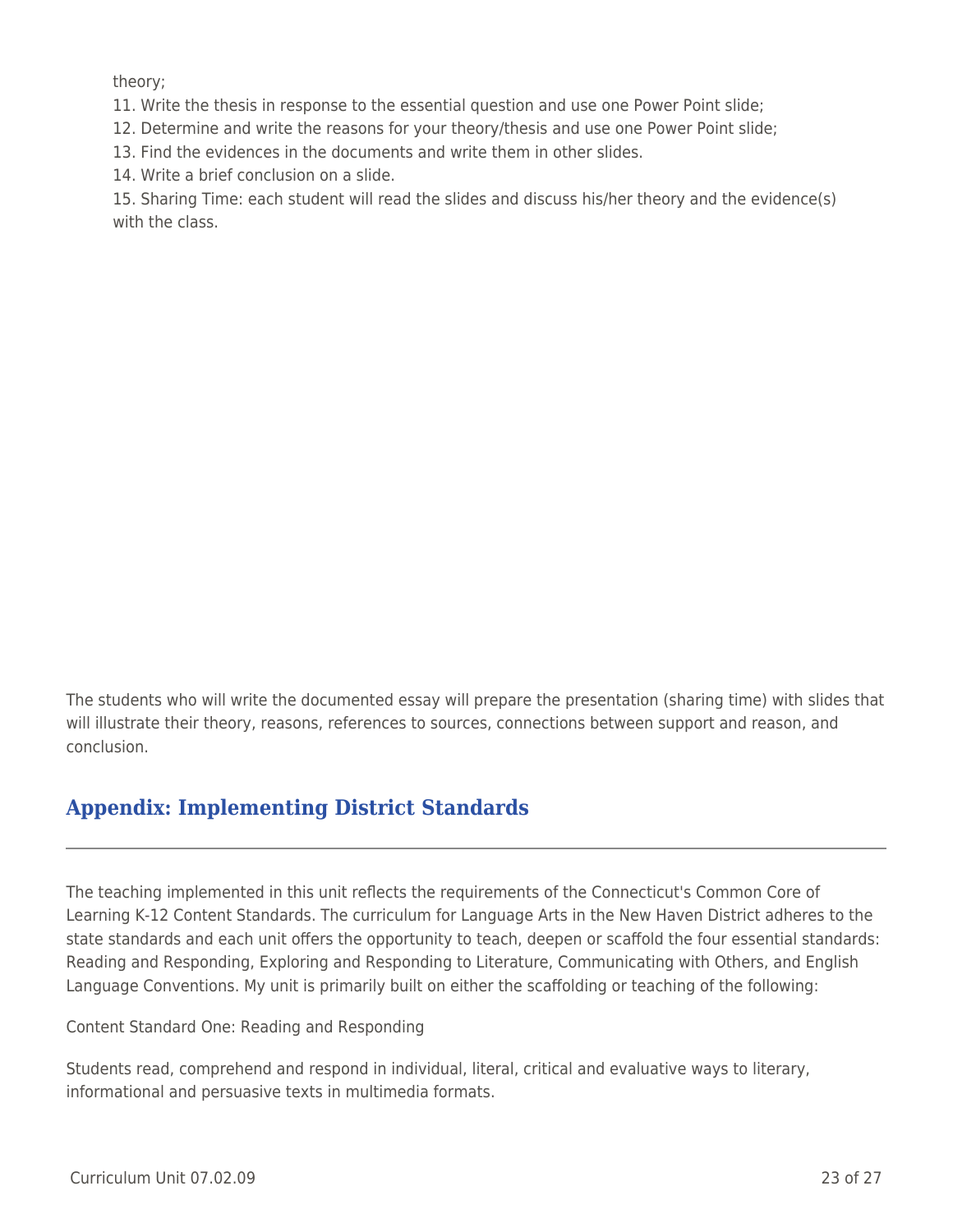theory;

11. Write the thesis in response to the essential question and use one Power Point slide;

12. Determine and write the reasons for your theory/thesis and use one Power Point slide;

13. Find the evidences in the documents and write them in other slides.

14. Write a brief conclusion on a slide.

15. Sharing Time: each student will read the slides and discuss his/her theory and the evidence(s) with the class.

The students who will write the documented essay will prepare the presentation (sharing time) with slides that will illustrate their theory, reasons, references to sources, connections between support and reason, and conclusion.

# **Appendix: Implementing District Standards**

The teaching implemented in this unit reflects the requirements of the Connecticut's Common Core of Learning K-12 Content Standards. The curriculum for Language Arts in the New Haven District adheres to the state standards and each unit offers the opportunity to teach, deepen or scaffold the four essential standards: Reading and Responding, Exploring and Responding to Literature, Communicating with Others, and English Language Conventions. My unit is primarily built on either the scaffolding or teaching of the following:

Content Standard One: Reading and Responding

Students read, comprehend and respond in individual, literal, critical and evaluative ways to literary, informational and persuasive texts in multimedia formats.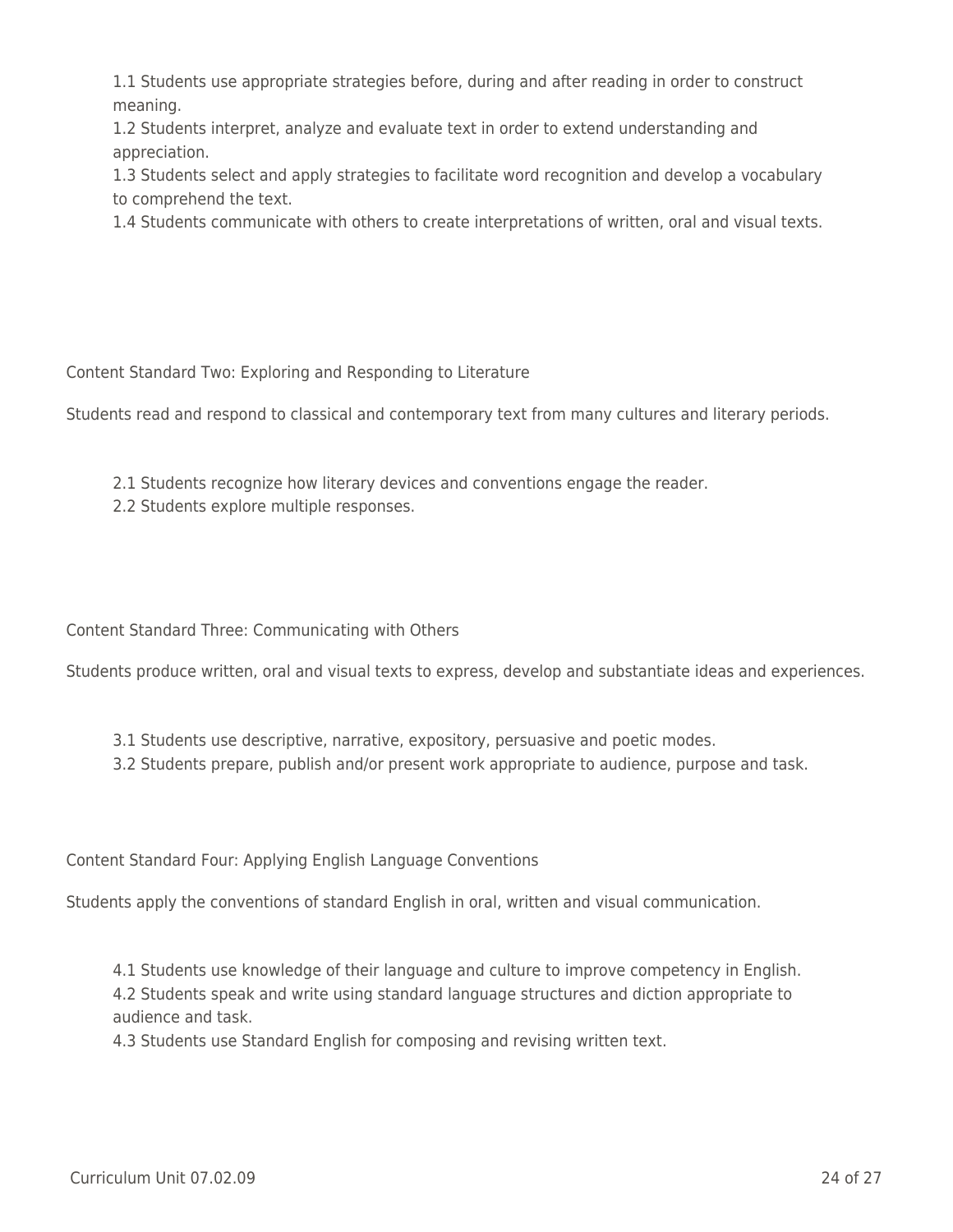1.1 Students use appropriate strategies before, during and after reading in order to construct meaning.

1.2 Students interpret, analyze and evaluate text in order to extend understanding and appreciation.

1.3 Students select and apply strategies to facilitate word recognition and develop a vocabulary to comprehend the text.

1.4 Students communicate with others to create interpretations of written, oral and visual texts.

Content Standard Two: Exploring and Responding to Literature

Students read and respond to classical and contemporary text from many cultures and literary periods.

- 2.1 Students recognize how literary devices and conventions engage the reader.
- 2.2 Students explore multiple responses.

Content Standard Three: Communicating with Others

Students produce written, oral and visual texts to express, develop and substantiate ideas and experiences.

- 3.1 Students use descriptive, narrative, expository, persuasive and poetic modes.
- 3.2 Students prepare, publish and/or present work appropriate to audience, purpose and task.

Content Standard Four: Applying English Language Conventions

Students apply the conventions of standard English in oral, written and visual communication.

4.1 Students use knowledge of their language and culture to improve competency in English. 4.2 Students speak and write using standard language structures and diction appropriate to audience and task.

4.3 Students use Standard English for composing and revising written text.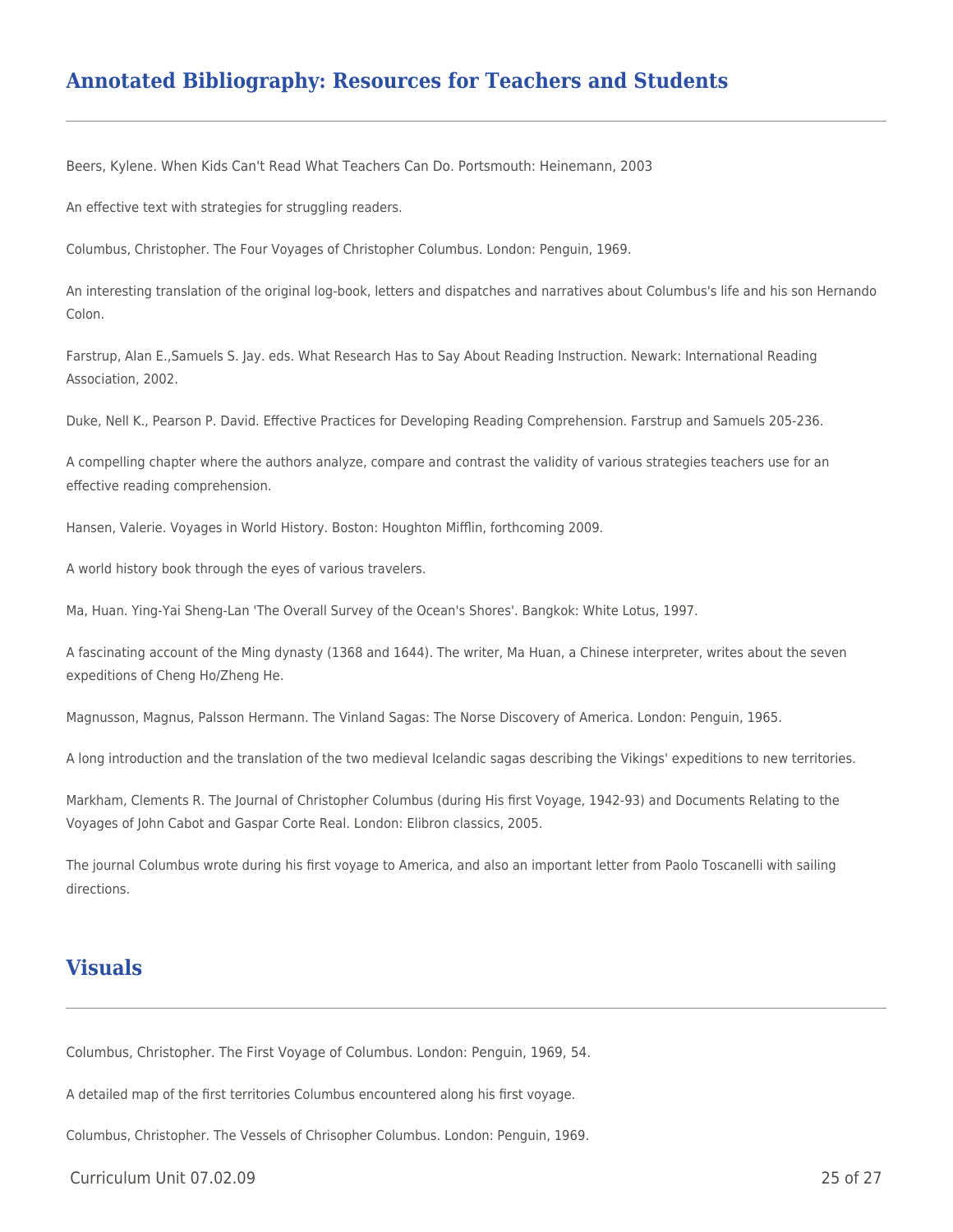## **Annotated Bibliography: Resources for Teachers and Students**

Beers, Kylene. When Kids Can't Read What Teachers Can Do. Portsmouth: Heinemann, 2003

An effective text with strategies for struggling readers.

Columbus, Christopher. The Four Voyages of Christopher Columbus. London: Penguin, 1969.

An interesting translation of the original log-book, letters and dispatches and narratives about Columbus's life and his son Hernando Colon.

Farstrup, Alan E.,Samuels S. Jay. eds. What Research Has to Say About Reading Instruction. Newark: International Reading Association, 2002.

Duke, Nell K., Pearson P. David. Effective Practices for Developing Reading Comprehension. Farstrup and Samuels 205-236.

A compelling chapter where the authors analyze, compare and contrast the validity of various strategies teachers use for an effective reading comprehension.

Hansen, Valerie. Voyages in World History. Boston: Houghton Mifflin, forthcoming 2009.

A world history book through the eyes of various travelers.

Ma, Huan. Ying-Yai Sheng-Lan 'The Overall Survey of the Ocean's Shores'. Bangkok: White Lotus, 1997.

A fascinating account of the Ming dynasty (1368 and 1644). The writer, Ma Huan, a Chinese interpreter, writes about the seven expeditions of Cheng Ho/Zheng He.

Magnusson, Magnus, Palsson Hermann. The Vinland Sagas: The Norse Discovery of America. London: Penguin, 1965.

A long introduction and the translation of the two medieval Icelandic sagas describing the Vikings' expeditions to new territories.

Markham, Clements R. The Journal of Christopher Columbus (during His first Voyage, 1942-93) and Documents Relating to the Voyages of John Cabot and Gaspar Corte Real. London: Elibron classics, 2005.

The journal Columbus wrote during his first voyage to America, and also an important letter from Paolo Toscanelli with sailing directions.

### **Visuals**

Columbus, Christopher. The First Voyage of Columbus. London: Penguin, 1969, 54.

A detailed map of the first territories Columbus encountered along his first voyage.

Columbus, Christopher. The Vessels of Chrisopher Columbus. London: Penguin, 1969.

Curriculum Unit 07.02.09 25 of 27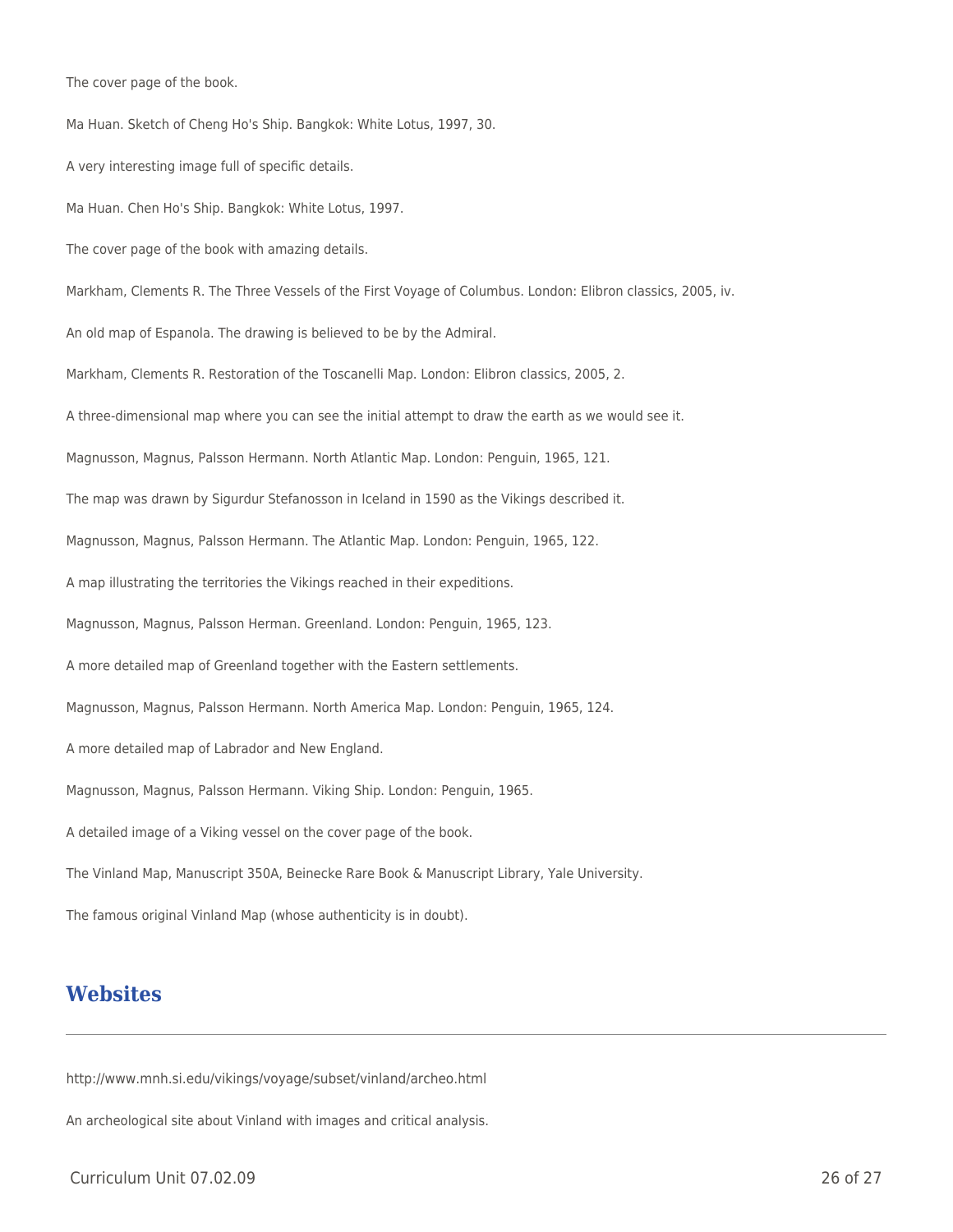The cover page of the book.

Ma Huan. Sketch of Cheng Ho's Ship. Bangkok: White Lotus, 1997, 30. A very interesting image full of specific details. Ma Huan. Chen Ho's Ship. Bangkok: White Lotus, 1997. The cover page of the book with amazing details. Markham, Clements R. The Three Vessels of the First Voyage of Columbus. London: Elibron classics, 2005, iv. An old map of Espanola. The drawing is believed to be by the Admiral. Markham, Clements R. Restoration of the Toscanelli Map. London: Elibron classics, 2005, 2. A three-dimensional map where you can see the initial attempt to draw the earth as we would see it. Magnusson, Magnus, Palsson Hermann. North Atlantic Map. London: Penguin, 1965, 121. The map was drawn by Sigurdur Stefanosson in Iceland in 1590 as the Vikings described it. Magnusson, Magnus, Palsson Hermann. The Atlantic Map. London: Penguin, 1965, 122. A map illustrating the territories the Vikings reached in their expeditions. Magnusson, Magnus, Palsson Herman. Greenland. London: Penguin, 1965, 123. A more detailed map of Greenland together with the Eastern settlements. Magnusson, Magnus, Palsson Hermann. North America Map. London: Penguin, 1965, 124. A more detailed map of Labrador and New England. Magnusson, Magnus, Palsson Hermann. Viking Ship. London: Penguin, 1965. A detailed image of a Viking vessel on the cover page of the book. The Vinland Map, Manuscript 350A, Beinecke Rare Book & Manuscript Library, Yale University. The famous original Vinland Map (whose authenticity is in doubt).

### **Websites**

http://www.mnh.si.edu/vikings/voyage/subset/vinland/archeo.html

An archeological site about Vinland with images and critical analysis.